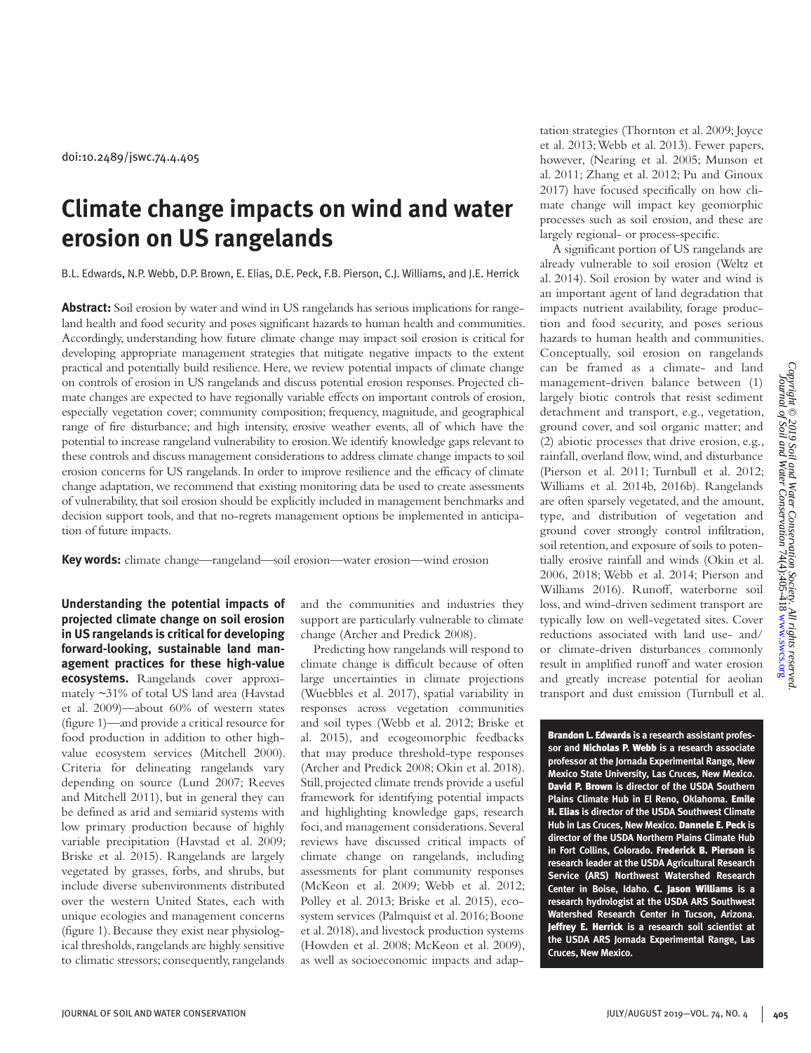# **Climate change impacts on wind and water erosion on US rangelands**

B.L. Edwards, N.P. Webb, D.P. Brown, E. Elias, D.E. Peck, F.B. Pierson, C.J. Williams, and J.E. Herrick

**Abstract:** Soil erosion by water and wind in US rangelands has serious implications for rangeland health and food security and poses significant hazards to human health and communities. Accordingly, understanding how future climate change may impact soil erosion is critical for developing appropriate management strategies that mitigate negative impacts to the extent practical and potentially build resilience. Here, we review potential impacts of climate change on controls of erosion in US rangelands and discuss potential erosion responses. Projected climate changes are expected to have regionally variable effects on important controls of erosion, especially vegetation cover; community composition; frequency, magnitude, and geographical range of fire disturbance; and high intensity, erosive weather events, all of which have the potential to increase rangeland vulnerability to erosion. We identify knowledge gaps relevant to these controls and discuss management considerations to address climate change impacts to soil erosion concerns for US rangelands. In order to improve resilience and the efficacy of climate change adaptation, we recommend that existing monitoring data be used to create assessments of vulnerability, that soil erosion should be explicitly included in management benchmarks and decision support tools, and that no-regrets management options be implemented in anticipation of future impacts.

**Key words:** climate change—rangeland—soil erosion—water erosion—wind erosion

**Understanding the potential impacts of projected climate change on soil erosion in US rangelands is critical for developing forward-looking, sustainable land management practices for these high-value ecosystems.** Rangelands cover approximately ~31% of total US land area (Havstad et al. 2009)—about 60% of western states (figure 1)—and provide a critical resource for food production in addition to other highvalue ecosystem services (Mitchell 2000). Criteria for delineating rangelands vary depending on source (Lund 2007; Reeves and Mitchell 2011), but in general they can be defined as arid and semiarid systems with low primary production because of highly variable precipitation (Havstad et al. 2009; Briske et al. 2015). Rangelands are largely vegetated by grasses, forbs, and shrubs, but include diverse subenvironments distributed over the western United States, each with unique ecologies and management concerns (figure 1). Because they exist near physiological thresholds, rangelands are highly sensitive to climatic stressors; consequently, rangelands

and the communities and industries they support are particularly vulnerable to climate change (Archer and Predick 2008).

Predicting how rangelands will respond to climate change is difficult because of often large uncertainties in climate projections (Wuebbles et al. 2017), spatial variability in responses across vegetation communities and soil types (Webb et al. 2012; Briske et al. 2015), and ecogeomorphic feedbacks that may produce threshold-type responses (Archer and Predick 2008; Okin et al. 2018). Still, projected climate trends provide a useful framework for identifying potential impacts and highlighting knowledge gaps, research foci, and management considerations. Several reviews have discussed critical impacts of climate change on rangelands, including assessments for plant community responses (McKeon et al. 2009; Webb et al. 2012; Polley et al. 2013; Briske et al. 2015), ecosystem services (Palmquist et al. 2016; Boone et al. 2018), and livestock production systems (Howden et al. 2008; McKeon et al. 2009), as well as socioeconomic impacts and adaptation strategies (Thornton et al. 2009; Joyce et al. 2013; Webb et al. 2013). Fewer papers, however, (Nearing et al. 2005; Munson et al. 2011; Zhang et al. 2012; Pu and Ginoux 2017) have focused specifically on how climate change will impact key geomorphic processes such as soil erosion, and these are largely regional- or process-specific.

A significant portion of US rangelands are already vulnerable to soil erosion (Weltz et al. 2014). Soil erosion by water and wind is an important agent of land degradation that impacts nutrient availability, forage production and food security, and poses serious hazards to human health and communities. Conceptually, soil erosion on rangelands can be framed as a climate- and land management-driven balance between (1) largely biotic controls that resist sediment detachment and transport, e.g., vegetation, ground cover, and soil organic matter; and (2) abiotic processes that drive erosion, e.g., rainfall, overland flow, wind, and disturbance (Pierson et al. 2011; Turnbull et al. 2012; Williams et al. 2014b, 2016b). Rangelands are often sparsely vegetated, and the amount, type, and distribution of vegetation and ground cover strongly control infiltration, soil retention, and exposure of soils to potentially erosive rainfall and winds (Okin et al. 2006, 2018; Webb et al. 2014; Pierson and Williams 2016). Runoff, waterborne soil loss, and wind-driven sediment transport are typically low on well-vegetated sites. Cover reductions associated with land use- and/ or climate-driven disturbances commonly result in amplified runoff and water erosion and greatly increase potential for aeolian transport and dust emission (Turnbull et al.

Brandon L. Edwards **is a research assistant professor and** Nicholas P. Webb **is a research associate professor at the Jornada Experimental Range, New Mexico State University, Las Cruces, New Mexico.**  David P. Brown **is director of the USDA Southern Plains Climate Hub in El Reno, Oklahoma.** Emile H. Elias **is director of the USDA Southwest Climate Hub in Las Cruces, New Mexico.** Dannele E. Peck **is director of the USDA Northern Plains Climate Hub in Fort Collins, Colorado.** Frederick B. Pierson **is research leader at the USDA Agricultural Research Service (ARS) Northwest Watershed Research Center in Boise, Idaho.** C. Jason Williams **is a research hydrologist at the USDA ARS Southwest Watershed Research Center in Tucson, Arizona.**  Jeffrey E. Herrick **is a research soil scientist at the USDA ARS Jornada Experimental Range, Las Cruces, New Mexico.**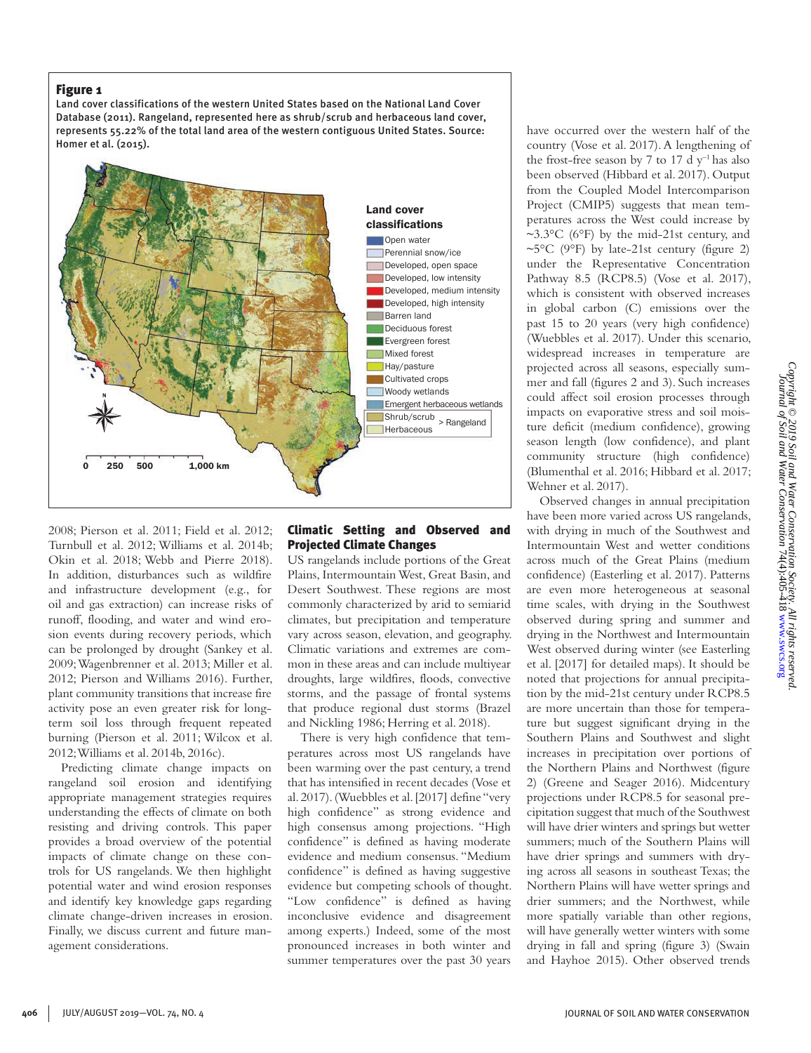Land cover classifications of the western United States based on the National Land Cover Database (2011). Rangeland, represented here as shrub/scrub and herbaceous land cover, represents 55.22% of the total land area of the western contiguous United States. Source: Homer et al. (2015).



2008; Pierson et al. 2011; Field et al. 2012; Turnbull et al. 2012; Williams et al. 2014b; Okin et al. 2018; Webb and Pierre 2018). In addition, disturbances such as wildfire and infrastructure development (e.g., for oil and gas extraction) can increase risks of runoff, flooding, and water and wind erosion events during recovery periods, which can be prolonged by drought (Sankey et al. 2009; Wagenbrenner et al. 2013; Miller et al. 2012; Pierson and Williams 2016). Further, plant community transitions that increase fire activity pose an even greater risk for longterm soil loss through frequent repeated burning (Pierson et al. 2011; Wilcox et al. 2012; Williams et al. 2014b, 2016c).

Predicting climate change impacts on rangeland soil erosion and identifying appropriate management strategies requires understanding the effects of climate on both resisting and driving controls. This paper provides a broad overview of the potential impacts of climate change on these controls for US rangelands. We then highlight potential water and wind erosion responses and identify key knowledge gaps regarding climate change-driven increases in erosion. Finally, we discuss current and future management considerations.

# Climatic Setting and Observed and Projected Climate Changes

US rangelands include portions of the Great Plains, Intermountain West, Great Basin, and Desert Southwest. These regions are most commonly characterized by arid to semiarid climates, but precipitation and temperature vary across season, elevation, and geography. Climatic variations and extremes are common in these areas and can include multiyear droughts, large wildfires, floods, convective storms, and the passage of frontal systems that produce regional dust storms (Brazel and Nickling 1986; Herring et al. 2018).

There is very high confidence that temperatures across most US rangelands have been warming over the past century, a trend that has intensified in recent decades (Vose et al. 2017). (Wuebbles et al. [2017] define "very high confidence" as strong evidence and high consensus among projections. "High confidence" is defined as having moderate evidence and medium consensus. "Medium confidence" is defined as having suggestive evidence but competing schools of thought. "Low confidence" is defined as having inconclusive evidence and disagreement among experts.) Indeed, some of the most pronounced increases in both winter and summer temperatures over the past 30 years have occurred over the western half of the country (Vose et al. 2017). A lengthening of the frost-free season by 7 to 17 d  $y^{-1}$  has also been observed (Hibbard et al. 2017). Output from the Coupled Model Intercomparison Project (CMIP5) suggests that mean temperatures across the West could increase by ~3.3 $\degree$ C (6 $\degree$ F) by the mid-21st century, and  $\sim 5^{\circ}$ C (9°F) by late-21st century (figure 2) under the Representative Concentration Pathway 8.5 (RCP8.5) (Vose et al. 2017), which is consistent with observed increases in global carbon (C) emissions over the past 15 to 20 years (very high confidence) (Wuebbles et al. 2017). Under this scenario, widespread increases in temperature are projected across all seasons, especially summer and fall (figures 2 and 3). Such increases could affect soil erosion processes through impacts on evaporative stress and soil moisture deficit (medium confidence), growing season length (low confidence), and plant community structure (high confidence) (Blumenthal et al. 2016; Hibbard et al. 2017; Wehner et al. 2017).

Observed changes in annual precipitation have been more varied across US rangelands, with drying in much of the Southwest and Intermountain West and wetter conditions across much of the Great Plains (medium confidence) (Easterling et al. 2017). Patterns are even more heterogeneous at seasonal time scales, with drying in the Southwest observed during spring and summer and drying in the Northwest and Intermountain West observed during winter (see Easterling et al. [2017] for detailed maps). It should be noted that projections for annual precipitation by the mid-21st century under RCP8.5 are more uncertain than those for temperature but suggest significant drying in the Southern Plains and Southwest and slight increases in precipitation over portions of the Northern Plains and Northwest (figure 2) (Greene and Seager 2016). Midcentury projections under RCP8.5 for seasonal precipitation suggest that much of the Southwest will have drier winters and springs but wetter summers; much of the Southern Plains will have drier springs and summers with drying across all seasons in southeast Texas; the Northern Plains will have wetter springs and drier summers; and the Northwest, while more spatially variable than other regions, will have generally wetter winters with some drying in fall and spring (figure 3) (Swain and Hayhoe 2015). Other observed trends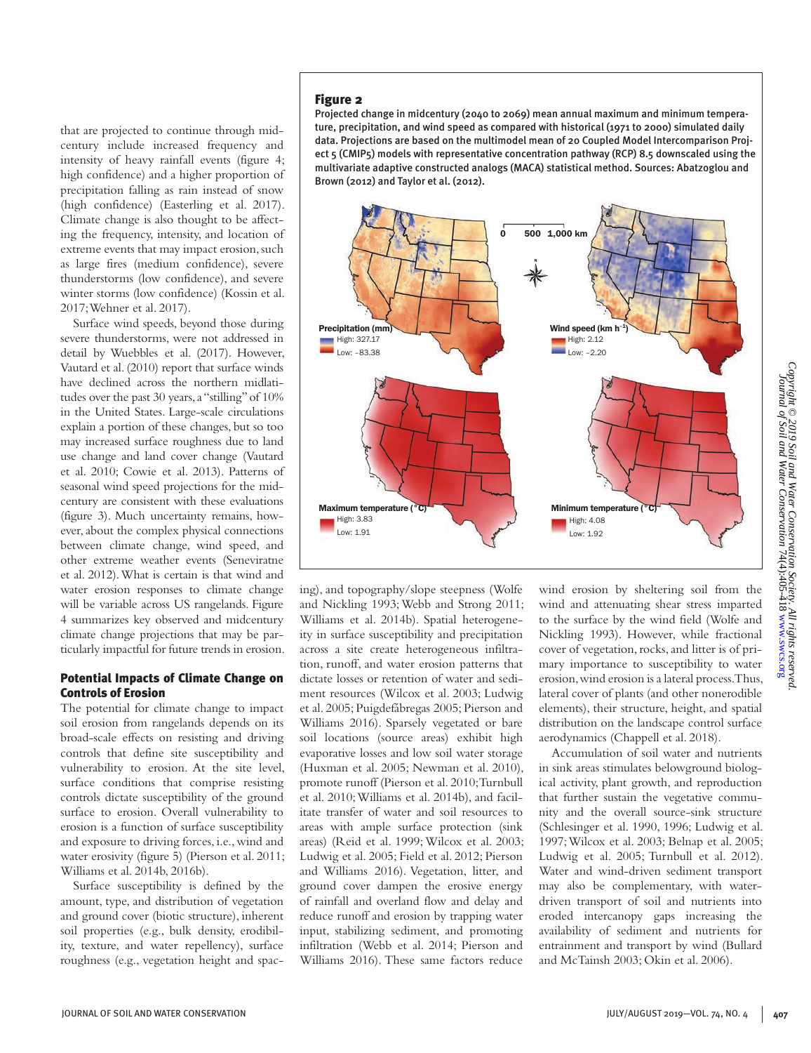that are projected to continue through midcentury include increased frequency and intensity of heavy rainfall events (figure 4; high confidence) and a higher proportion of precipitation falling as rain instead of snow (high confidence) (Easterling et al. 2017). Climate change is also thought to be affecting the frequency, intensity, and location of extreme events that may impact erosion, such as large fires (medium confidence), severe thunderstorms (low confidence), and severe winter storms (low confidence) (Kossin et al. 2017; Wehner et al. 2017).

Surface wind speeds, beyond those during severe thunderstorms, were not addressed in detail by Wuebbles et al. (2017). However, Vautard et al. (2010) report that surface winds have declined across the northern midlatitudes over the past 30 years, a "stilling" of 10% in the United States. Large-scale circulations explain a portion of these changes, but so too may increased surface roughness due to land use change and land cover change (Vautard et al. 2010; Cowie et al. 2013). Patterns of seasonal wind speed projections for the midcentury are consistent with these evaluations (figure 3). Much uncertainty remains, however, about the complex physical connections between climate change, wind speed, and other extreme weather events (Seneviratne et al. 2012). What is certain is that wind and water erosion responses to climate change will be variable across US rangelands. Figure 4 summarizes key observed and midcentury climate change projections that may be particularly impactful for future trends in erosion.

## Potential Impacts of Climate Change on Controls of Erosion

The potential for climate change to impact soil erosion from rangelands depends on its broad-scale effects on resisting and driving controls that define site susceptibility and vulnerability to erosion. At the site level, surface conditions that comprise resisting controls dictate susceptibility of the ground surface to erosion. Overall vulnerability to erosion is a function of surface susceptibility and exposure to driving forces, i.e., wind and water erosivity (figure 5) (Pierson et al. 2011; Williams et al. 2014b, 2016b).

Surface susceptibility is defined by the amount, type, and distribution of vegetation and ground cover (biotic structure), inherent soil properties (e.g., bulk density, erodibility, texture, and water repellency), surface roughness (e.g., vegetation height and spac-

### Figure 2

Projected change in midcentury (2040 to 2069) mean annual maximum and minimum temperature, precipitation, and wind speed as compared with historical (1971 to 2000) simulated daily data. Projections are based on the multimodel mean of 20 Coupled Model Intercomparison Project 5 (CMIP5) models with representative concentration pathway (RCP) 8.5 downscaled using the multivariate adaptive constructed analogs (MACA) statistical method. Sources: Abatzoglou and Brown (2012) and Taylor et al. (2012).



ing), and topography/slope steepness (Wolfe and Nickling 1993; Webb and Strong 2011; Williams et al. 2014b). Spatial heterogeneity in surface susceptibility and precipitation across a site create heterogeneous infiltration, runoff, and water erosion patterns that dictate losses or retention of water and sediment resources (Wilcox et al. 2003; Ludwig et al. 2005; Puigdefábregas 2005; Pierson and Williams 2016). Sparsely vegetated or bare soil locations (source areas) exhibit high evaporative losses and low soil water storage (Huxman et al. 2005; Newman et al. 2010), promote runoff (Pierson et al. 2010; Turnbull et al. 2010; Williams et al. 2014b), and facilitate transfer of water and soil resources to areas with ample surface protection (sink areas) (Reid et al. 1999; Wilcox et al. 2003; Ludwig et al. 2005; Field et al. 2012; Pierson and Williams 2016). Vegetation, litter, and ground cover dampen the erosive energy of rainfall and overland flow and delay and reduce runoff and erosion by trapping water input, stabilizing sediment, and promoting infiltration (Webb et al. 2014; Pierson and Williams 2016). These same factors reduce

wind erosion by sheltering soil from the wind and attenuating shear stress imparted to the surface by the wind field (Wolfe and Nickling 1993). However, while fractional cover of vegetation, rocks, and litter is of primary importance to susceptibility to water erosion, wind erosion is a lateral process. Thus, lateral cover of plants (and other nonerodible elements), their structure, height, and spatial distribution on the landscape control surface aerodynamics (Chappell et al. 2018).

Accumulation of soil water and nutrients in sink areas stimulates belowground biological activity, plant growth, and reproduction that further sustain the vegetative community and the overall source-sink structure (Schlesinger et al. 1990, 1996; Ludwig et al. 1997; Wilcox et al. 2003; Belnap et al. 2005; Ludwig et al. 2005; Turnbull et al. 2012). Water and wind-driven sediment transport may also be complementary, with waterdriven transport of soil and nutrients into eroded intercanopy gaps increasing the availability of sediment and nutrients for entrainment and transport by wind (Bullard and McTainsh 2003; Okin et al. 2006).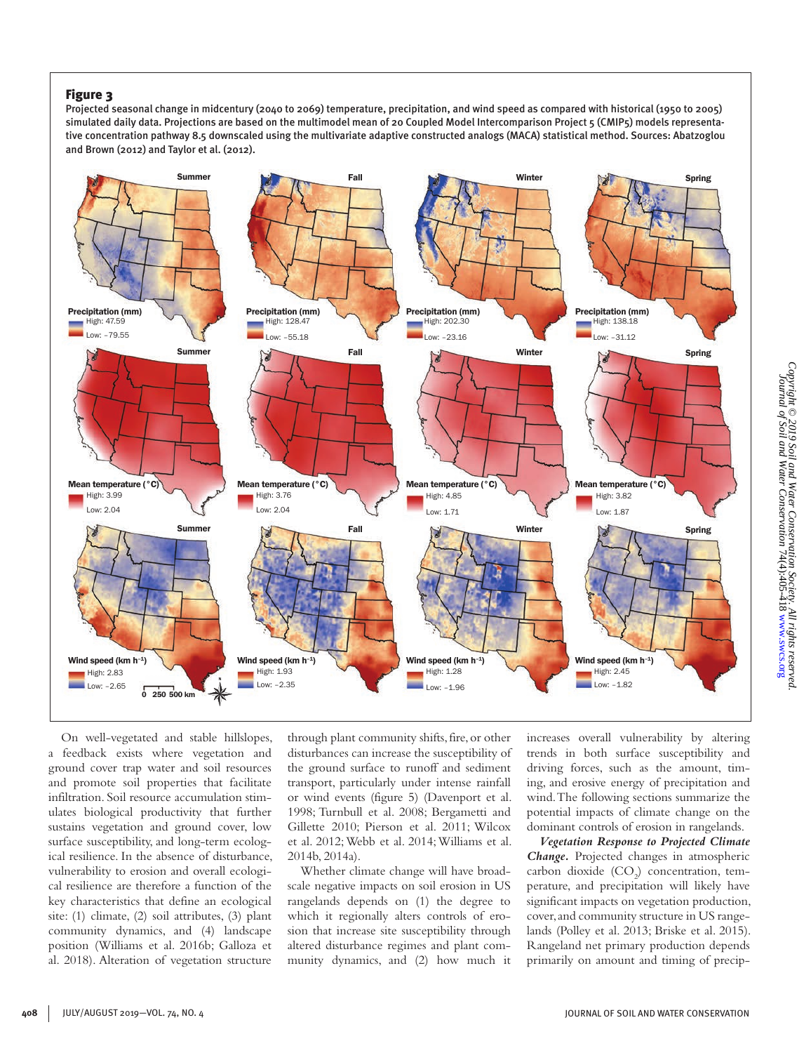Projected seasonal change in midcentury (2040 to 2069) temperature, precipitation, and wind speed as compared with historical (1950 to 2005) simulated daily data. Projections are based on the multimodel mean of 20 Coupled Model Intercomparison Project 5 (CMIP5) models representative concentration pathway 8.5 downscaled using the multivariate adaptive constructed analogs (MACA) statistical method. Sources: Abatzoglou and Brown (2012) and Taylor et al. (2012).



On well-vegetated and stable hillslopes, a feedback exists where vegetation and ground cover trap water and soil resources and promote soil properties that facilitate infiltration. Soil resource accumulation stimulates biological productivity that further sustains vegetation and ground cover, low surface susceptibility, and long-term ecological resilience. In the absence of disturbance, vulnerability to erosion and overall ecological resilience are therefore a function of the key characteristics that define an ecological site: (1) climate, (2) soil attributes, (3) plant community dynamics, and (4) landscape position (Williams et al. 2016b; Galloza et al. 2018). Alteration of vegetation structure through plant community shifts, fire, or other disturbances can increase the susceptibility of the ground surface to runoff and sediment transport, particularly under intense rainfall or wind events (figure 5) (Davenport et al. 1998; Turnbull et al. 2008; Bergametti and Gillette 2010; Pierson et al. 2011; Wilcox et al. 2012; Webb et al. 2014; Williams et al. 2014b, 2014a).

Whether climate change will have broadscale negative impacts on soil erosion in US rangelands depends on (1) the degree to which it regionally alters controls of erosion that increase site susceptibility through altered disturbance regimes and plant community dynamics, and (2) how much it increases overall vulnerability by altering trends in both surface susceptibility and driving forces, such as the amount, timing, and erosive energy of precipitation and wind. The following sections summarize the potential impacts of climate change on the dominant controls of erosion in rangelands.

*Vegetation Response to Projected Climate Change.* Projected changes in atmospheric carbon dioxide  $(CO_2)$  concentration, temperature, and precipitation will likely have significant impacts on vegetation production, cover, and community structure in US rangelands (Polley et al. 2013; Briske et al. 2015). Rangeland net primary production depends primarily on amount and timing of precip-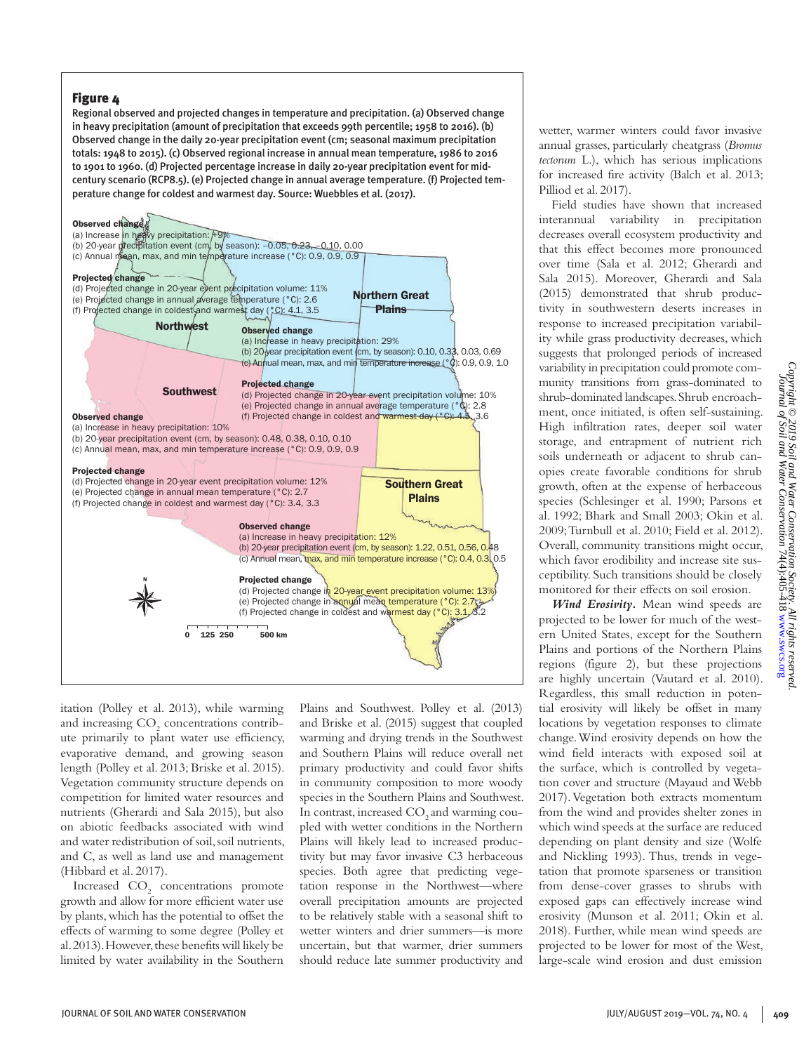Regional observed and projected changes in temperature and precipitation. (a) Observed change in heavy precipitation (amount of precipitation that exceeds 99th percentile; 1958 to 2016). (b) Observed change in the daily 20-year precipitation event (cm; seasonal maximum precipitation totals: 1948 to 2015). (c) Observed regional increase in annual mean temperature, 1986 to 2016 to 1901 to 1960. (d) Projected percentage increase in daily 20-year precipitation event for midcentury scenario (RCP8.5). (e) Projected change in annual average temperature. (f) Projected temperature change for coldest and warmest day. Source: Wuebbles et al. (2017).



itation (Polley et al. 2013), while warming and increasing  $\mathrm{CO}_2$  concentrations contribute primarily to plant water use efficiency, evaporative demand, and growing season length (Polley et al. 2013; Briske et al. 2015). Vegetation community structure depends on competition for limited water resources and nutrients (Gherardi and Sala 2015), but also on abiotic feedbacks associated with wind and water redistribution of soil, soil nutrients, and C, as well as land use and management (Hibbard et al. 2017).

Increased  $CO<sub>2</sub>$  concentrations promote growth and allow for more efficient water use by plants, which has the potential to offset the effects of warming to some degree (Polley et al. 2013). However, these benefits will likely be limited by water availability in the Southern

Plains and Southwest. Polley et al. (2013) and Briske et al. (2015) suggest that coupled warming and drying trends in the Southwest and Southern Plains will reduce overall net primary productivity and could favor shifts in community composition to more woody species in the Southern Plains and Southwest. In contrast, increased CO<sub>2</sub> and warming coupled with wetter conditions in the Northern Plains will likely lead to increased productivity but may favor invasive C3 herbaceous species. Both agree that predicting vegetation response in the Northwest—where overall precipitation amounts are projected to be relatively stable with a seasonal shift to wetter winters and drier summers—is more uncertain, but that warmer, drier summers should reduce late summer productivity and wetter, warmer winters could favor invasive annual grasses, particularly cheatgrass (*Bromus tectorum* L.), which has serious implications for increased fire activity (Balch et al. 2013; Pilliod et al. 2017).

Field studies have shown that increased interannual variability in precipitation decreases overall ecosystem productivity and that this effect becomes more pronounced over time (Sala et al. 2012; Gherardi and Sala 2015). Moreover, Gherardi and Sala (2015) demonstrated that shrub productivity in southwestern deserts increases in response to increased precipitation variability while grass productivity decreases, which suggests that prolonged periods of increased variability in precipitation could promote community transitions from grass-dominated to shrub-dominated landscapes. Shrub encroachment, once initiated, is often self-sustaining. High infiltration rates, deeper soil water storage, and entrapment of nutrient rich soils underneath or adjacent to shrub canopies create favorable conditions for shrub growth, often at the expense of herbaceous species (Schlesinger et al. 1990; Parsons et al. 1992; Bhark and Small 2003; Okin et al. 2009; Turnbull et al. 2010; Field et al. 2012). Overall, community transitions might occur, which favor erodibility and increase site susceptibility. Such transitions should be closely monitored for their effects on soil erosion.

*Wind Erosivity.* Mean wind speeds are projected to be lower for much of the western United States, except for the Southern Plains and portions of the Northern Plains regions (figure 2), but these projections are highly uncertain (Vautard et al. 2010). Regardless, this small reduction in potential erosivity will likely be offset in many locations by vegetation responses to climate change. Wind erosivity depends on how the wind field interacts with exposed soil at the surface, which is controlled by vegetation cover and structure (Mayaud and Webb 2017). Vegetation both extracts momentum from the wind and provides shelter zones in which wind speeds at the surface are reduced depending on plant density and size (Wolfe and Nickling 1993). Thus, trends in vegetation that promote sparseness or transition from dense-cover grasses to shrubs with exposed gaps can effectively increase wind erosivity (Munson et al. 2011; Okin et al. 2018). Further, while mean wind speeds are projected to be lower for most of the West, large-scale wind erosion and dust emission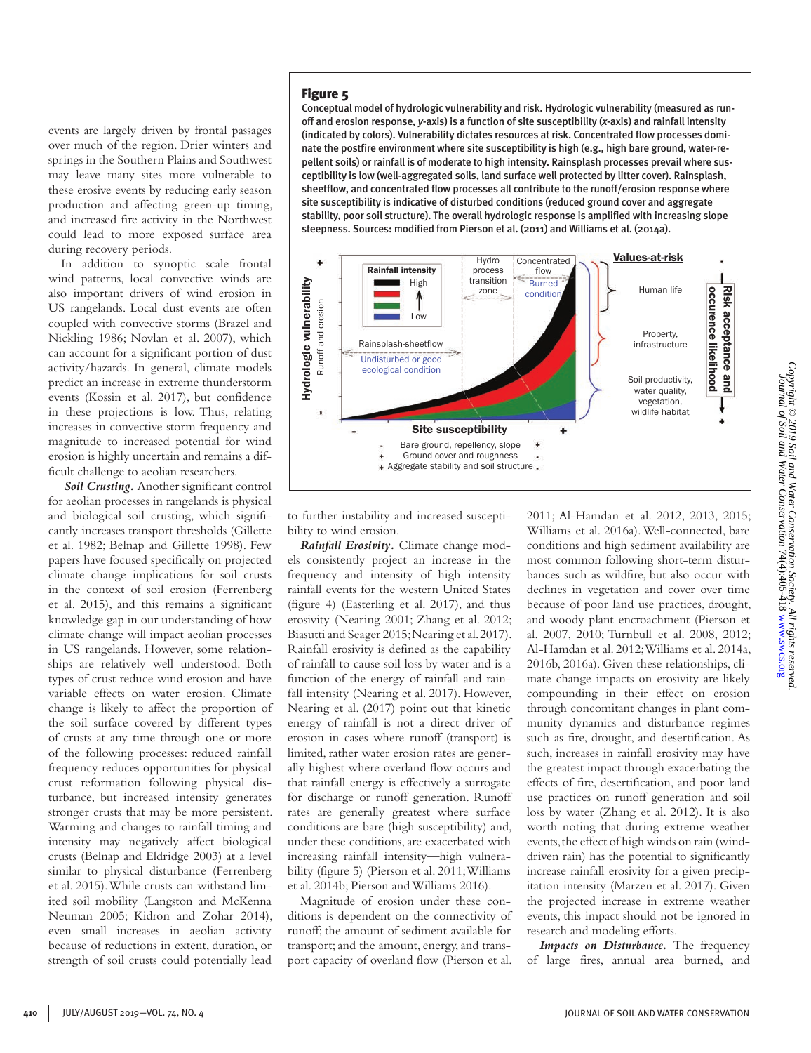events are largely driven by frontal passages over much of the region. Drier winters and springs in the Southern Plains and Southwest may leave many sites more vulnerable to these erosive events by reducing early season production and affecting green-up timing, and increased fire activity in the Northwest could lead to more exposed surface area during recovery periods.

In addition to synoptic scale frontal wind patterns, local convective winds are also important drivers of wind erosion in US rangelands. Local dust events are often coupled with convective storms (Brazel and Nickling 1986; Novlan et al. 2007), which can account for a significant portion of dust activity/hazards. In general, climate models predict an increase in extreme thunderstorm events (Kossin et al. 2017), but confidence in these projections is low. Thus, relating increases in convective storm frequency and magnitude to increased potential for wind erosion is highly uncertain and remains a difficult challenge to aeolian researchers.

 *Soil Crusting.* Another significant control for aeolian processes in rangelands is physical and biological soil crusting, which significantly increases transport thresholds (Gillette et al. 1982; Belnap and Gillette 1998). Few papers have focused specifically on projected climate change implications for soil crusts in the context of soil erosion (Ferrenberg et al. 2015), and this remains a significant knowledge gap in our understanding of how climate change will impact aeolian processes in US rangelands. However, some relationships are relatively well understood. Both types of crust reduce wind erosion and have variable effects on water erosion. Climate change is likely to affect the proportion of the soil surface covered by different types of crusts at any time through one or more of the following processes: reduced rainfall frequency reduces opportunities for physical crust reformation following physical disturbance, but increased intensity generates stronger crusts that may be more persistent. Warming and changes to rainfall timing and intensity may negatively affect biological crusts (Belnap and Eldridge 2003) at a level similar to physical disturbance (Ferrenberg et al. 2015). While crusts can withstand limited soil mobility (Langston and McKenna Neuman 2005; Kidron and Zohar 2014), even small increases in aeolian activity because of reductions in extent, duration, or strength of soil crusts could potentially lead

#### Figure 5

Conceptual model of hydrologic vulnerability and risk. Hydrologic vulnerability (measured as runoff and erosion response, *y*-axis) is a function of site susceptibility (*x*-axis) and rainfall intensity (indicated by colors). Vulnerability dictates resources at risk. Concentrated flow processes dominate the postfire environment where site susceptibility is high (e.g., high bare ground, water-repellent soils) or rainfall is of moderate to high intensity. Rainsplash processes prevail where susceptibility is low (well-aggregated soils, land surface well protected by litter cover). Rainsplash, sheetflow, and concentrated flow processes all contribute to the runoff/erosion response where site susceptibility is indicative of disturbed conditions (reduced ground cover and aggregate stability, poor soil structure). The overall hydrologic response is amplified with increasing slope steepness. Sources: modified from Pierson et al. (2011) and Williams et al. (2014a).



to further instability and increased susceptibility to wind erosion.

*Rainfall Erosivity.* Climate change models consistently project an increase in the frequency and intensity of high intensity rainfall events for the western United States (figure 4) (Easterling et al. 2017), and thus erosivity (Nearing 2001; Zhang et al. 2012; Biasutti and Seager 2015; Nearing et al. 2017). Rainfall erosivity is defined as the capability of rainfall to cause soil loss by water and is a function of the energy of rainfall and rainfall intensity (Nearing et al. 2017). However, Nearing et al. (2017) point out that kinetic energy of rainfall is not a direct driver of erosion in cases where runoff (transport) is limited, rather water erosion rates are generally highest where overland flow occurs and that rainfall energy is effectively a surrogate for discharge or runoff generation. Runoff rates are generally greatest where surface conditions are bare (high susceptibility) and, under these conditions, are exacerbated with increasing rainfall intensity—high vulnerability (figure 5) (Pierson et al. 2011; Williams et al. 2014b; Pierson and Williams 2016).

Magnitude of erosion under these conditions is dependent on the connectivity of runoff; the amount of sediment available for transport; and the amount, energy, and transport capacity of overland flow (Pierson et al. 2011; Al-Hamdan et al. 2012, 2013, 2015; Williams et al. 2016a). Well-connected, bare conditions and high sediment availability are most common following short-term disturbances such as wildfire, but also occur with declines in vegetation and cover over time because of poor land use practices, drought, and woody plant encroachment (Pierson et al. 2007, 2010; Turnbull et al. 2008, 2012; Al-Hamdan et al. 2012; Williams et al. 2014a, 2016b, 2016a). Given these relationships, climate change impacts on erosivity are likely compounding in their effect on erosion through concomitant changes in plant community dynamics and disturbance regimes such as fire, drought, and desertification. As such, increases in rainfall erosivity may have the greatest impact through exacerbating the effects of fire, desertification, and poor land use practices on runoff generation and soil loss by water (Zhang et al. 2012). It is also worth noting that during extreme weather events, the effect of high winds on rain (winddriven rain) has the potential to significantly increase rainfall erosivity for a given precipitation intensity (Marzen et al. 2017). Given the projected increase in extreme weather events, this impact should not be ignored in research and modeling efforts.

*Impacts on Disturbance.* The frequency of large fires, annual area burned, and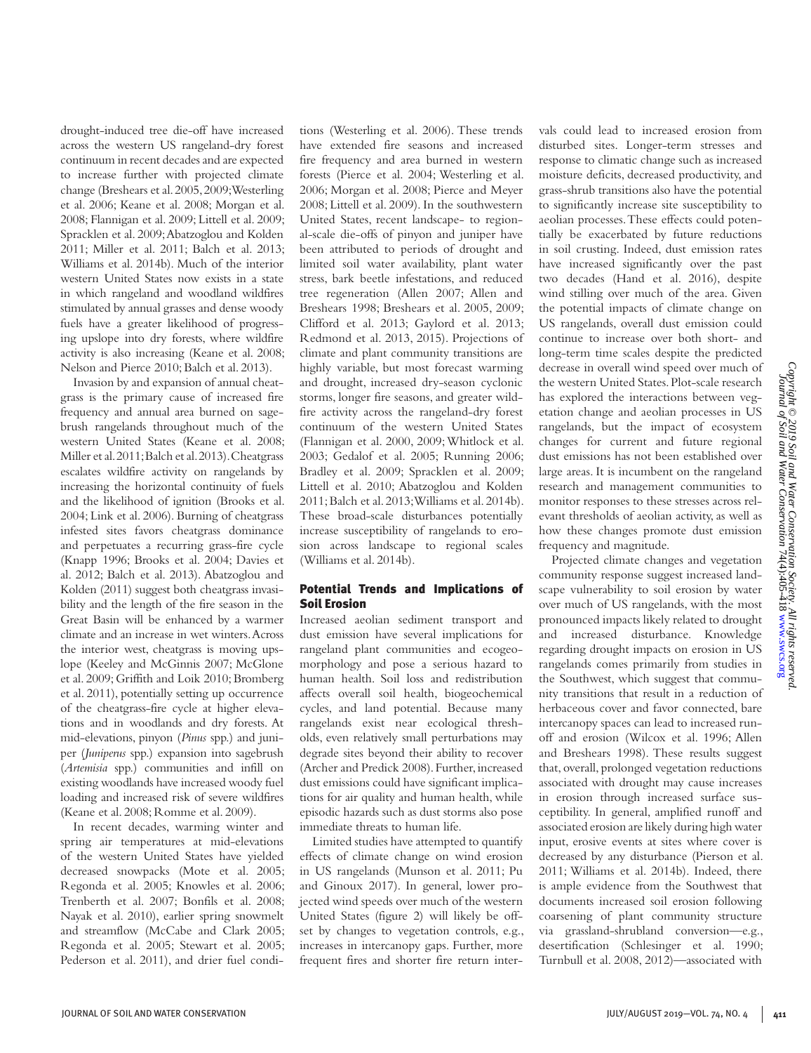drought-induced tree die-off have increased across the western US rangeland-dry forest continuum in recent decades and are expected to increase further with projected climate change (Breshears et al. 2005, 2009; Westerling et al. 2006; Keane et al. 2008; Morgan et al. 2008; Flannigan et al. 2009; Littell et al. 2009; Spracklen et al. 2009; Abatzoglou and Kolden 2011; Miller et al. 2011; Balch et al. 2013; Williams et al. 2014b). Much of the interior western United States now exists in a state in which rangeland and woodland wildfires stimulated by annual grasses and dense woody fuels have a greater likelihood of progressing upslope into dry forests, where wildfire activity is also increasing (Keane et al. 2008; Nelson and Pierce 2010; Balch et al. 2013).

Invasion by and expansion of annual cheatgrass is the primary cause of increased fire frequency and annual area burned on sagebrush rangelands throughout much of the western United States (Keane et al. 2008; Miller et al. 2011; Balch et al. 2013). Cheatgrass escalates wildfire activity on rangelands by increasing the horizontal continuity of fuels and the likelihood of ignition (Brooks et al. 2004; Link et al. 2006). Burning of cheatgrass infested sites favors cheatgrass dominance and perpetuates a recurring grass-fire cycle (Knapp 1996; Brooks et al. 2004; Davies et al. 2012; Balch et al. 2013). Abatzoglou and Kolden (2011) suggest both cheatgrass invasibility and the length of the fire season in the Great Basin will be enhanced by a warmer climate and an increase in wet winters. Across the interior west, cheatgrass is moving upslope (Keeley and McGinnis 2007; McGlone et al. 2009; Griffith and Loik 2010; Bromberg et al. 2011), potentially setting up occurrence of the cheatgrass-fire cycle at higher elevations and in woodlands and dry forests. At mid-elevations, pinyon (*Pinus* spp.) and juniper (*Juniperus* spp.) expansion into sagebrush (*Artemisia* spp.) communities and infill on existing woodlands have increased woody fuel loading and increased risk of severe wildfires (Keane et al. 2008; Romme et al. 2009).

In recent decades, warming winter and spring air temperatures at mid-elevations of the western United States have yielded decreased snowpacks (Mote et al. 2005; Regonda et al. 2005; Knowles et al. 2006; Trenberth et al. 2007; Bonfils et al. 2008; Nayak et al. 2010), earlier spring snowmelt and streamflow (McCabe and Clark 2005; Regonda et al. 2005; Stewart et al. 2005; Pederson et al. 2011), and drier fuel conditions (Westerling et al. 2006). These trends have extended fire seasons and increased fire frequency and area burned in western forests (Pierce et al. 2004; Westerling et al. 2006; Morgan et al. 2008; Pierce and Meyer 2008; Littell et al. 2009). In the southwestern United States, recent landscape- to regional-scale die-offs of pinyon and juniper have been attributed to periods of drought and limited soil water availability, plant water stress, bark beetle infestations, and reduced tree regeneration (Allen 2007; Allen and Breshears 1998; Breshears et al. 2005, 2009; Clifford et al. 2013; Gaylord et al. 2013; Redmond et al. 2013, 2015). Projections of climate and plant community transitions are highly variable, but most forecast warming and drought, increased dry-season cyclonic storms, longer fire seasons, and greater wildfire activity across the rangeland-dry forest continuum of the western United States (Flannigan et al. 2000, 2009; Whitlock et al. 2003; Gedalof et al. 2005; Running 2006; Bradley et al. 2009; Spracklen et al. 2009; Littell et al. 2010; Abatzoglou and Kolden 2011; Balch et al. 2013; Williams et al. 2014b). These broad-scale disturbances potentially increase susceptibility of rangelands to erosion across landscape to regional scales (Williams et al. 2014b).

#### Potential Trends and Implications of Soil Erosion

Increased aeolian sediment transport and dust emission have several implications for rangeland plant communities and ecogeomorphology and pose a serious hazard to human health. Soil loss and redistribution affects overall soil health, biogeochemical cycles, and land potential. Because many rangelands exist near ecological thresholds, even relatively small perturbations may degrade sites beyond their ability to recover (Archer and Predick 2008). Further, increased dust emissions could have significant implications for air quality and human health, while episodic hazards such as dust storms also pose immediate threats to human life.

Limited studies have attempted to quantify effects of climate change on wind erosion in US rangelands (Munson et al. 2011; Pu and Ginoux 2017). In general, lower projected wind speeds over much of the western United States (figure 2) will likely be offset by changes to vegetation controls, e.g., increases in intercanopy gaps. Further, more frequent fires and shorter fire return inter-

vals could lead to increased erosion from disturbed sites. Longer-term stresses and response to climatic change such as increased moisture deficits, decreased productivity, and grass-shrub transitions also have the potential to significantly increase site susceptibility to aeolian processes. These effects could potentially be exacerbated by future reductions in soil crusting. Indeed, dust emission rates have increased significantly over the past two decades (Hand et al. 2016), despite wind stilling over much of the area. Given the potential impacts of climate change on US rangelands, overall dust emission could continue to increase over both short- and long-term time scales despite the predicted decrease in overall wind speed over much of the western United States. Plot-scale research has explored the interactions between vegetation change and aeolian processes in US rangelands, but the impact of ecosystem changes for current and future regional dust emissions has not been established over large areas. It is incumbent on the rangeland research and management communities to monitor responses to these stresses across relevant thresholds of aeolian activity, as well as how these changes promote dust emission frequency and magnitude.

Projected climate changes and vegetation community response suggest increased landscape vulnerability to soil erosion by water over much of US rangelands, with the most pronounced impacts likely related to drought and increased disturbance. Knowledge regarding drought impacts on erosion in US rangelands comes primarily from studies in the Southwest, which suggest that community transitions that result in a reduction of herbaceous cover and favor connected, bare intercanopy spaces can lead to increased runoff and erosion (Wilcox et al. 1996; Allen and Breshears 1998). These results suggest that, overall, prolonged vegetation reductions associated with drought may cause increases in erosion through increased surface susceptibility. In general, amplified runoff and associated erosion are likely during high water input, erosive events at sites where cover is decreased by any disturbance (Pierson et al. 2011; Williams et al. 2014b). Indeed, there is ample evidence from the Southwest that documents increased soil erosion following coarsening of plant community structure via grassland-shrubland conversion—e.g., desertification (Schlesinger et al. 1990; Turnbull et al. 2008, 2012)—associated with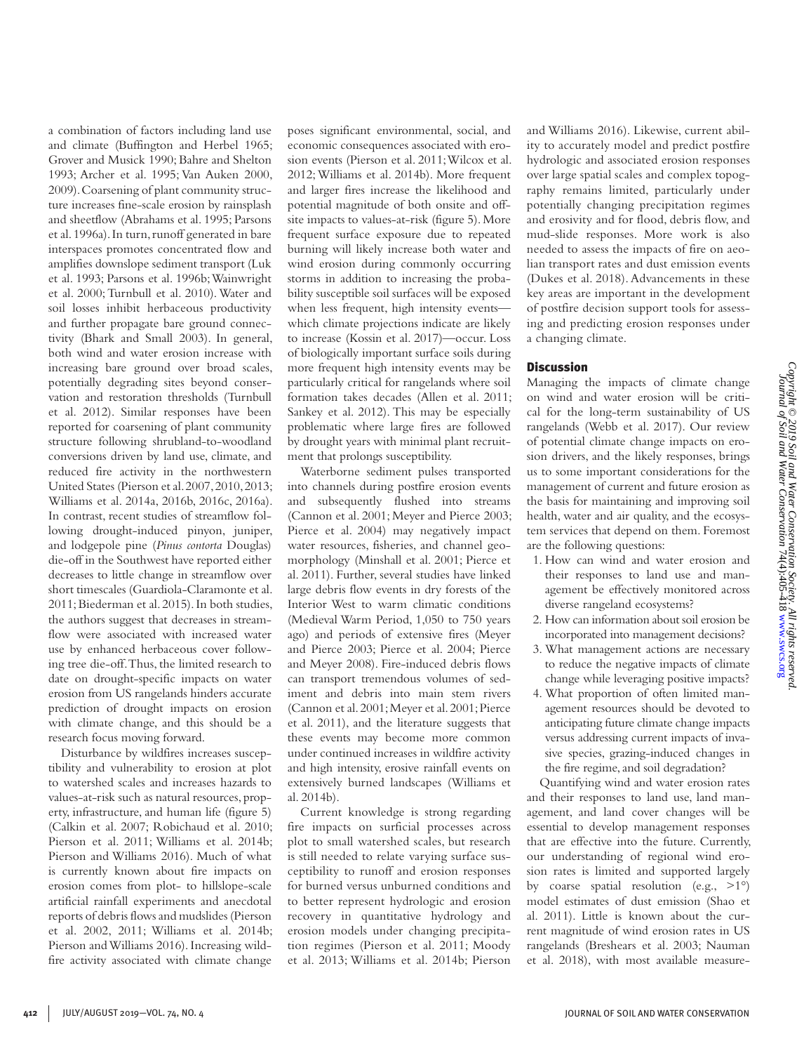a combination of factors including land use and climate (Buffington and Herbel 1965; Grover and Musick 1990; Bahre and Shelton 1993; Archer et al. 1995; Van Auken 2000, 2009). Coarsening of plant community structure increases fine-scale erosion by rainsplash and sheetflow (Abrahams et al. 1995; Parsons et al. 1996a). In turn, runoff generated in bare interspaces promotes concentrated flow and amplifies downslope sediment transport (Luk et al. 1993; Parsons et al. 1996b; Wainwright et al. 2000; Turnbull et al. 2010). Water and soil losses inhibit herbaceous productivity and further propagate bare ground connectivity (Bhark and Small 2003). In general, both wind and water erosion increase with increasing bare ground over broad scales, potentially degrading sites beyond conservation and restoration thresholds (Turnbull et al. 2012). Similar responses have been reported for coarsening of plant community structure following shrubland-to-woodland conversions driven by land use, climate, and reduced fire activity in the northwestern United States (Pierson et al. 2007, 2010, 2013; Williams et al. 2014a, 2016b, 2016c, 2016a). In contrast, recent studies of streamflow following drought-induced pinyon, juniper, and lodgepole pine (*Pinus contorta* Douglas) die-off in the Southwest have reported either decreases to little change in streamflow over short timescales (Guardiola-Claramonte et al. 2011; Biederman et al. 2015). In both studies, the authors suggest that decreases in streamflow were associated with increased water use by enhanced herbaceous cover following tree die-off. Thus, the limited research to date on drought-specific impacts on water erosion from US rangelands hinders accurate prediction of drought impacts on erosion with climate change, and this should be a research focus moving forward.

Disturbance by wildfires increases susceptibility and vulnerability to erosion at plot to watershed scales and increases hazards to values-at-risk such as natural resources, property, infrastructure, and human life (figure 5) (Calkin et al. 2007; Robichaud et al. 2010; Pierson et al. 2011; Williams et al. 2014b; Pierson and Williams 2016). Much of what is currently known about fire impacts on erosion comes from plot- to hillslope-scale artificial rainfall experiments and anecdotal reports of debris flows and mudslides (Pierson et al. 2002, 2011; Williams et al. 2014b; Pierson and Williams 2016). Increasing wildfire activity associated with climate change poses significant environmental, social, and economic consequences associated with erosion events (Pierson et al. 2011; Wilcox et al. 2012; Williams et al. 2014b). More frequent and larger fires increase the likelihood and potential magnitude of both onsite and offsite impacts to values-at-risk (figure 5). More frequent surface exposure due to repeated burning will likely increase both water and wind erosion during commonly occurring storms in addition to increasing the probability susceptible soil surfaces will be exposed when less frequent, high intensity events which climate projections indicate are likely to increase (Kossin et al. 2017)—occur. Loss of biologically important surface soils during more frequent high intensity events may be particularly critical for rangelands where soil formation takes decades (Allen et al. 2011; Sankey et al. 2012). This may be especially problematic where large fires are followed by drought years with minimal plant recruitment that prolongs susceptibility.

Waterborne sediment pulses transported into channels during postfire erosion events and subsequently flushed into streams (Cannon et al. 2001; Meyer and Pierce 2003; Pierce et al. 2004) may negatively impact water resources, fisheries, and channel geomorphology (Minshall et al. 2001; Pierce et al. 2011). Further, several studies have linked large debris flow events in dry forests of the Interior West to warm climatic conditions (Medieval Warm Period, 1,050 to 750 years ago) and periods of extensive fires (Meyer and Pierce 2003; Pierce et al. 2004; Pierce and Meyer 2008). Fire-induced debris flows can transport tremendous volumes of sediment and debris into main stem rivers (Cannon et al. 2001; Meyer et al. 2001; Pierce et al. 2011), and the literature suggests that these events may become more common under continued increases in wildfire activity and high intensity, erosive rainfall events on extensively burned landscapes (Williams et al. 2014b).

Current knowledge is strong regarding fire impacts on surficial processes across plot to small watershed scales, but research is still needed to relate varying surface susceptibility to runoff and erosion responses for burned versus unburned conditions and to better represent hydrologic and erosion recovery in quantitative hydrology and erosion models under changing precipitation regimes (Pierson et al. 2011; Moody et al. 2013; Williams et al. 2014b; Pierson and Williams 2016). Likewise, current ability to accurately model and predict postfire hydrologic and associated erosion responses over large spatial scales and complex topography remains limited, particularly under potentially changing precipitation regimes and erosivity and for flood, debris flow, and mud-slide responses. More work is also needed to assess the impacts of fire on aeolian transport rates and dust emission events (Dukes et al. 2018). Advancements in these key areas are important in the development of postfire decision support tools for assessing and predicting erosion responses under a changing climate.

# **Discussion**

Managing the impacts of climate change on wind and water erosion will be critical for the long-term sustainability of US rangelands (Webb et al. 2017). Our review of potential climate change impacts on erosion drivers, and the likely responses, brings us to some important considerations for the management of current and future erosion as the basis for maintaining and improving soil health, water and air quality, and the ecosystem services that depend on them. Foremost are the following questions:

- 1. How can wind and water erosion and their responses to land use and management be effectively monitored across diverse rangeland ecosystems?
- 2. How can information about soil erosion be incorporated into management decisions?
- 3. What management actions are necessary to reduce the negative impacts of climate change while leveraging positive impacts?
- 4. What proportion of often limited management resources should be devoted to anticipating future climate change impacts versus addressing current impacts of invasive species, grazing-induced changes in the fire regime, and soil degradation?

Quantifying wind and water erosion rates and their responses to land use, land management, and land cover changes will be essential to develop management responses that are effective into the future. Currently, our understanding of regional wind erosion rates is limited and supported largely by coarse spatial resolution (e.g.,  $>1^{\circ}$ ) model estimates of dust emission (Shao et al. 2011). Little is known about the current magnitude of wind erosion rates in US rangelands (Breshears et al. 2003; Nauman et al. 2018), with most available measure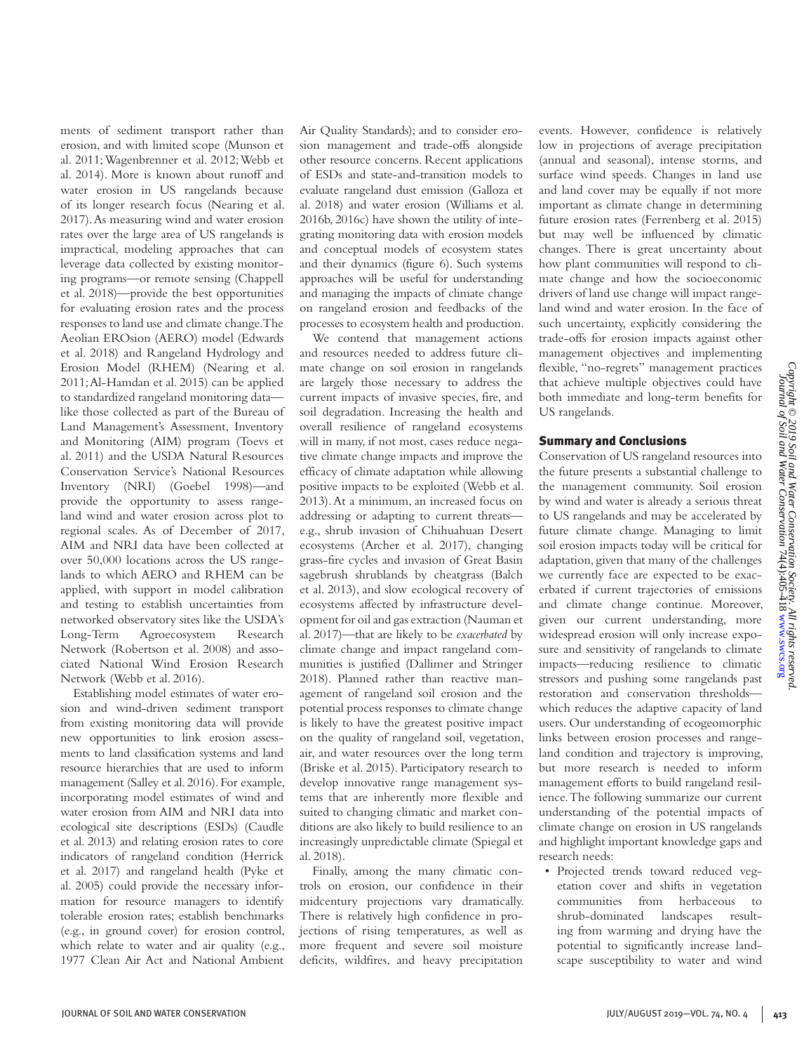ments of sediment transport rather than erosion, and with limited scope (Munson et al. 2011; Wagenbrenner et al. 2012; Webb et al. 2014). More is known about runoff and water erosion in US rangelands because of its longer research focus (Nearing et al. 2017). As measuring wind and water erosion rates over the large area of US rangelands is impractical, modeling approaches that can leverage data collected by existing monitoring programs—or remote sensing (Chappell et al. 2018)—provide the best opportunities for evaluating erosion rates and the process responses to land use and climate change. The Aeolian EROsion (AERO) model (Edwards et al. 2018) and Rangeland Hydrology and Erosion Model (RHEM) (Nearing et al. 2011; Al-Hamdan et al. 2015) can be applied to standardized rangeland monitoring data like those collected as part of the Bureau of Land Management's Assessment, Inventory and Monitoring (AIM) program (Toevs et al. 2011) and the USDA Natural Resources Conservation Service's National Resources Inventory (NRI) (Goebel 1998)—and provide the opportunity to assess rangeland wind and water erosion across plot to regional scales. As of December of 2017, AIM and NRI data have been collected at over 50,000 locations across the US rangelands to which AERO and RHEM can be applied, with support in model calibration and testing to establish uncertainties from networked observatory sites like the USDA's Long-Term Agroecosystem Research Network (Robertson et al. 2008) and associated National Wind Erosion Research Network (Webb et al. 2016).

Establishing model estimates of water erosion and wind-driven sediment transport from existing monitoring data will provide new opportunities to link erosion assessments to land classification systems and land resource hierarchies that are used to inform management (Salley et al. 2016). For example, incorporating model estimates of wind and water erosion from AIM and NRI data into ecological site descriptions (ESDs) (Caudle et al. 2013) and relating erosion rates to core indicators of rangeland condition (Herrick et al. 2017) and rangeland health (Pyke et al. 2005) could provide the necessary information for resource managers to identify tolerable erosion rates; establish benchmarks (e.g., in ground cover) for erosion control, which relate to water and air quality (e.g., 1977 Clean Air Act and National Ambient

Air Quality Standards); and to consider erosion management and trade-offs alongside other resource concerns. Recent applications of ESDs and state-and-transition models to evaluate rangeland dust emission (Galloza et al. 2018) and water erosion (Williams et al. 2016b, 2016c) have shown the utility of integrating monitoring data with erosion models and conceptual models of ecosystem states and their dynamics (figure 6). Such systems approaches will be useful for understanding and managing the impacts of climate change on rangeland erosion and feedbacks of the processes to ecosystem health and production.

We contend that management actions and resources needed to address future climate change on soil erosion in rangelands are largely those necessary to address the current impacts of invasive species, fire, and soil degradation. Increasing the health and overall resilience of rangeland ecosystems will in many, if not most, cases reduce negative climate change impacts and improve the efficacy of climate adaptation while allowing positive impacts to be exploited (Webb et al. 2013). At a minimum, an increased focus on addressing or adapting to current threats e.g., shrub invasion of Chihuahuan Desert ecosystems (Archer et al. 2017), changing grass-fire cycles and invasion of Great Basin sagebrush shrublands by cheatgrass (Balch et al. 2013), and slow ecological recovery of ecosystems affected by infrastructure development for oil and gas extraction (Nauman et al. 2017)—that are likely to be *exacerbated* by climate change and impact rangeland communities is justified (Dallimer and Stringer 2018). Planned rather than reactive management of rangeland soil erosion and the potential process responses to climate change is likely to have the greatest positive impact on the quality of rangeland soil, vegetation, air, and water resources over the long term (Briske et al. 2015). Participatory research to develop innovative range management systems that are inherently more flexible and suited to changing climatic and market conditions are also likely to build resilience to an increasingly unpredictable climate (Spiegal et al. 2018).

Finally, among the many climatic controls on erosion, our confidence in their midcentury projections vary dramatically. There is relatively high confidence in projections of rising temperatures, as well as more frequent and severe soil moisture deficits, wildfires, and heavy precipitation

events. However, confidence is relatively low in projections of average precipitation (annual and seasonal), intense storms, and surface wind speeds. Changes in land use and land cover may be equally if not more important as climate change in determining future erosion rates (Ferrenberg et al. 2015) but may well be influenced by climatic changes. There is great uncertainty about how plant communities will respond to climate change and how the socioeconomic drivers of land use change will impact rangeland wind and water erosion. In the face of such uncertainty, explicitly considering the trade-offs for erosion impacts against other management objectives and implementing flexible, "no-regrets" management practices that achieve multiple objectives could have both immediate and long-term benefits for US rangelands.

# Summary and Conclusions

Conservation of US rangeland resources into the future presents a substantial challenge to the management community. Soil erosion by wind and water is already a serious threat to US rangelands and may be accelerated by future climate change. Managing to limit soil erosion impacts today will be critical for adaptation, given that many of the challenges we currently face are expected to be exacerbated if current trajectories of emissions and climate change continue. Moreover, given our current understanding, more widespread erosion will only increase exposure and sensitivity of rangelands to climate impacts—reducing resilience to climatic stressors and pushing some rangelands past restoration and conservation thresholds which reduces the adaptive capacity of land users. Our understanding of ecogeomorphic links between erosion processes and rangeland condition and trajectory is improving, but more research is needed to inform management efforts to build rangeland resilience. The following summarize our current understanding of the potential impacts of climate change on erosion in US rangelands and highlight important knowledge gaps and research needs:

• Projected trends toward reduced vegetation cover and shifts in vegetation communities from herbaceous to shrub-dominated landscapes resulting from warming and drying have the potential to significantly increase landscape susceptibility to water and wind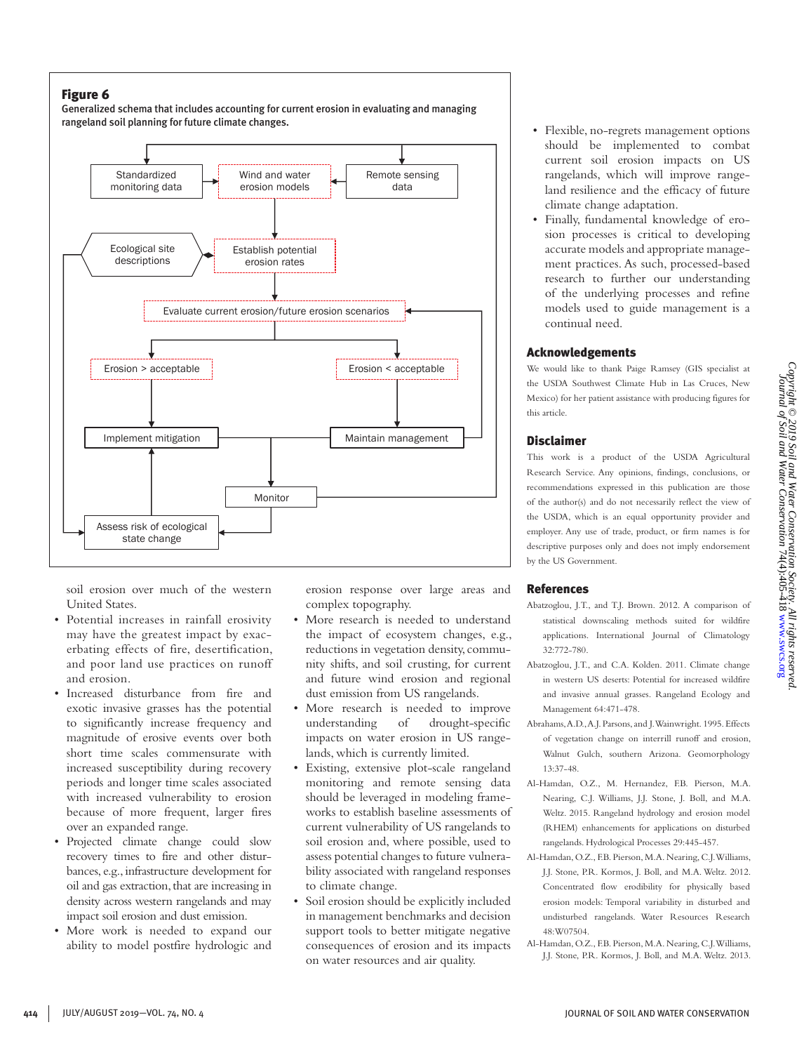Generalized schema that includes accounting for current erosion in evaluating and managing rangeland soil planning for future climate changes.



soil erosion over much of the western United States.

- Potential increases in rainfall erosivity may have the greatest impact by exacerbating effects of fire, desertification, and poor land use practices on runoff and erosion.
- Increased disturbance from fire and exotic invasive grasses has the potential to significantly increase frequency and magnitude of erosive events over both short time scales commensurate with increased susceptibility during recovery periods and longer time scales associated with increased vulnerability to erosion because of more frequent, larger fires over an expanded range.
- Projected climate change could slow recovery times to fire and other disturbances, e.g., infrastructure development for oil and gas extraction, that are increasing in density across western rangelands and may impact soil erosion and dust emission.
- More work is needed to expand our ability to model postfire hydrologic and

erosion response over large areas and complex topography.

- More research is needed to understand the impact of ecosystem changes, e.g., reductions in vegetation density, community shifts, and soil crusting, for current and future wind erosion and regional dust emission from US rangelands.
- More research is needed to improve understanding of drought-specific impacts on water erosion in US rangelands, which is currently limited.
- Existing, extensive plot-scale rangeland monitoring and remote sensing data should be leveraged in modeling frameworks to establish baseline assessments of current vulnerability of US rangelands to soil erosion and, where possible, used to assess potential changes to future vulnerability associated with rangeland responses to climate change.
- Soil erosion should be explicitly included in management benchmarks and decision support tools to better mitigate negative consequences of erosion and its impacts on water resources and air quality.
- Flexible, no-regrets management options should be implemented to combat current soil erosion impacts on US rangelands, which will improve rangeland resilience and the efficacy of future climate change adaptation.
- Finally, fundamental knowledge of erosion processes is critical to developing accurate models and appropriate management practices. As such, processed-based research to further our understanding of the underlying processes and refine models used to guide management is a continual need.

#### Acknowledgements

We would like to thank Paige Ramsey (GIS specialist at the USDA Southwest Climate Hub in Las Cruces, New Mexico) for her patient assistance with producing figures for this article.

#### Disclaimer

This work is a product of the USDA Agricultural Research Service. Any opinions, findings, conclusions, or recommendations expressed in this publication are those of the author(s) and do not necessarily reflect the view of the USDA, which is an equal opportunity provider and employer. Any use of trade, product, or firm names is for descriptive purposes only and does not imply endorsement by the US Government.

# References

- Abatzoglou, J.T., and T.J. Brown. 2012. A comparison of statistical downscaling methods suited for wildfire applications. International Journal of Climatology 32:772-780.
- Abatzoglou, J.T., and C.A. Kolden. 2011. Climate change in western US deserts: Potential for increased wildfire and invasive annual grasses. Rangeland Ecology and Management 64:471-478.
- Abrahams, A.D., A.J. Parsons, and J. Wainwright. 1995. Effects of vegetation change on interrill runoff and erosion, Walnut Gulch, southern Arizona. Geomorphology 13:37-48.
- Al-Hamdan, O.Z., M. Hernandez, F.B. Pierson, M.A. Nearing, C.J. Williams, J.J. Stone, J. Boll, and M.A. Weltz. 2015. Rangeland hydrology and erosion model (RHEM) enhancements for applications on disturbed rangelands. Hydrological Processes 29:445-457.
- Al-Hamdan, O.Z., F.B. Pierson, M.A. Nearing, C.J. Williams, J.J. Stone, P.R. Kormos, J. Boll, and M.A. Weltz. 2012. Concentrated flow erodibility for physically based erosion models: Temporal variability in disturbed and undisturbed rangelands. Water Resources Research 48:W07504.
- Al-Hamdan, O.Z., F.B. Pierson, M.A. Nearing, C.J. Williams, J.J. Stone, P.R. Kormos, J. Boll, and M.A. Weltz. 2013.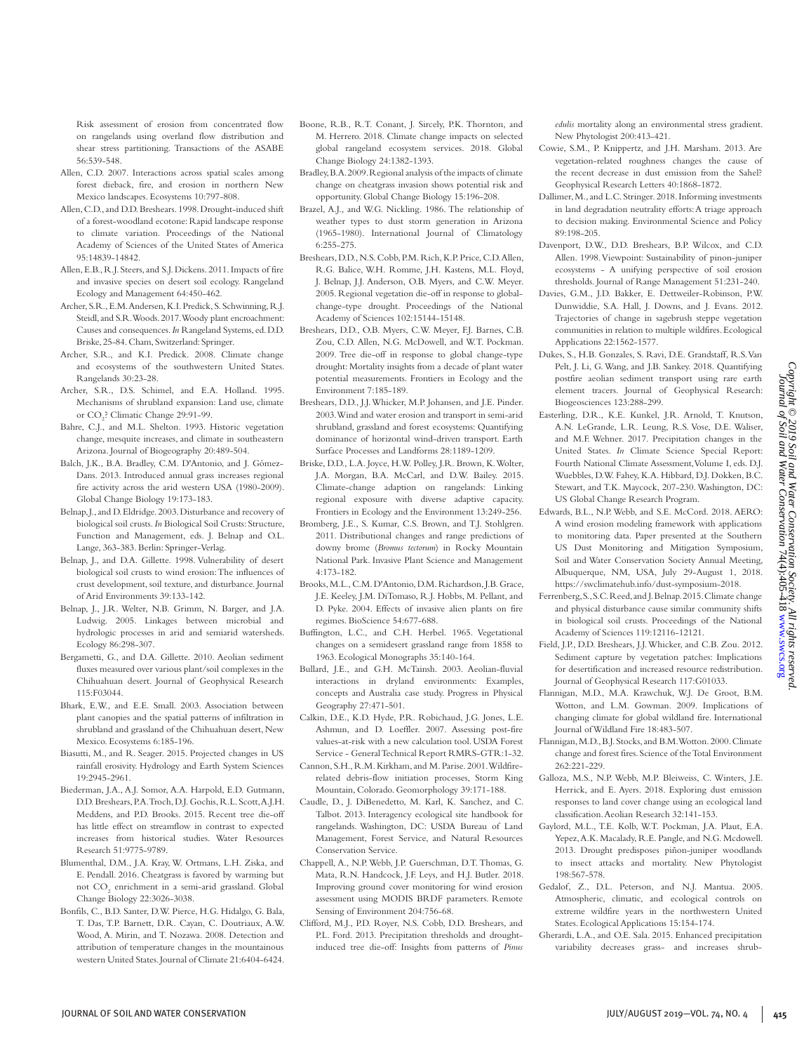Risk assessment of erosion from concentrated flow on rangelands using overland flow distribution and shear stress partitioning. Transactions of the ASABE 56:539-548.

- Allen, C.D. 2007. Interactions across spatial scales among forest dieback, fire, and erosion in northern New Mexico landscapes. Ecosystems 10:797-808.
- Allen, C.D., and D.D. Breshears. 1998. Drought-induced shift of a forest-woodland ecotone: Rapid landscape response to climate variation. Proceedings of the National Academy of Sciences of the United States of America 95:14839-14842.
- Allen, E.B., R.J. Steers, and S.J. Dickens. 2011. Impacts of fire and invasive species on desert soil ecology. Rangeland Ecology and Management 64:450-462.
- Archer, S.R., E.M. Andersen, K.I. Predick, S. Schwinning, R.J. Steidl, and S.R. Woods. 2017. Woody plant encroachment: Causes and consequences. *In* Rangeland Systems, ed. D.D. Briske, 25-84. Cham, Switzerland: Springer.
- Archer, S.R., and K.I. Predick. 2008. Climate change and ecosystems of the southwestern United States. Rangelands 30:23-28.
- Archer, S.R., D.S. Schimel, and E.A. Holland. 1995. Mechanisms of shrubland expansion: Land use, climate or CO<sub>2</sub>? Climatic Change 29:91-99.
- Bahre, C.J., and M.L. Shelton. 1993. Historic vegetation change, mesquite increases, and climate in southeastern Arizona. Journal of Biogeography 20:489-504.
- Balch, J.K., B.A. Bradley, C.M. D'Antonio, and J. Gómez-Dans. 2013. Introduced annual grass increases regional fire activity across the arid western USA (1980-2009). Global Change Biology 19:173-183.
- Belnap, J., and D. Eldridge. 2003. Disturbance and recovery of biological soil crusts. *In* Biological Soil Crusts: Structure, Function and Management, eds. J. Belnap and O.L. Lange, 363-383. Berlin: Springer-Verlag.
- Belnap, J., and D.A. Gillette. 1998. Vulnerability of desert biological soil crusts to wind erosion: The influences of crust development, soil texture, and disturbance. Journal of Arid Environments 39:133-142.
- Belnap, J., J.R. Welter, N.B. Grimm, N. Barger, and J.A. Ludwig. 2005. Linkages between microbial and hydrologic processes in arid and semiarid watersheds. Ecology 86:298-307.
- Bergametti, G., and D.A. Gillette. 2010. Aeolian sediment fluxes measured over various plant/soil complexes in the Chihuahuan desert. Journal of Geophysical Research 115:F03044.
- Bhark, E.W., and E.E. Small. 2003. Association between plant canopies and the spatial patterns of infiltration in shrubland and grassland of the Chihuahuan desert, New Mexico. Ecosystems 6:185-196.
- Biasutti, M., and R. Seager. 2015. Projected changes in US rainfall erosivity. Hydrology and Earth System Sciences 19:2945-2961.
- Biederman, J.A., A.J. Somor, A.A. Harpold, E.D. Gutmann, D.D. Breshears, P.A. Troch, D.J. Gochis, R.L. Scott, A.J.H. Meddens, and P.D. Brooks. 2015. Recent tree die-off has little effect on streamflow in contrast to expected increases from historical studies. Water Resources Research 51:9775-9789.
- Blumenthal, D.M., J.A. Kray, W. Ortmans, L.H. Ziska, and E. Pendall. 2016. Cheatgrass is favored by warming but not CO<sub>2</sub> enrichment in a semi-arid grassland. Global Change Biology 22:3026-3038.
- Bonfils, C., B.D. Santer, D.W. Pierce, H.G. Hidalgo, G. Bala, T. Das, T.P. Barnett, D.R. Cayan, C. Doutriaux, A.W. Wood, A. Mirin, and T. Nozawa. 2008. Detection and attribution of temperature changes in the mountainous western United States. Journal of Climate 21:6404-6424.
- Boone, R.B., R.T. Conant, J. Sircely, P.K. Thornton, and M. Herrero. 2018. Climate change impacts on selected global rangeland ecosystem services. 2018. Global Change Biology 24:1382-1393.
- Bradley, B.A. 2009. Regional analysis of the impacts of climate change on cheatgrass invasion shows potential risk and opportunity. Global Change Biology 15:196-208.
- Brazel, A.J., and W.G. Nickling. 1986. The relationship of weather types to dust storm generation in Arizona (1965-1980). International Journal of Climatology 6:255-275.
- Breshears, D.D., N.S. Cobb, P.M. Rich, K.P. Price, C.D. Allen, R.G. Balice, W.H. Romme, J.H. Kastens, M.L. Floyd, J. Belnap, J.J. Anderson, O.B. Myers, and C.W. Meyer. 2005. Regional vegetation die-off in response to globalchange-type drought. Proceedings of the National Academy of Sciences 102:15144-15148.
- Breshears, D.D., O.B. Myers, C.W. Meyer, F.J. Barnes, C.B. Zou, C.D. Allen, N.G. McDowell, and W.T. Pockman. 2009. Tree die-off in response to global change-type drought: Mortality insights from a decade of plant water potential measurements. Frontiers in Ecology and the Environment 7:185-189.
- Breshears, D.D., J.J. Whicker, M.P. Johansen, and J.E. Pinder. 2003. Wind and water erosion and transport in semi-arid shrubland, grassland and forest ecosystems: Quantifying dominance of horizontal wind-driven transport. Earth Surface Processes and Landforms 28:1189-1209.
- Briske, D.D., L.A. Joyce, H.W. Polley, J.R. Brown, K. Wolter, J.A. Morgan, B.A. McCarl, and D.W. Bailey. 2015. Climate-change adaption on rangelands: Linking regional exposure with diverse adaptive capacity. Frontiers in Ecology and the Environment 13:249-256.
- Bromberg, J.E., S. Kumar, C.S. Brown, and T.J. Stohlgren. 2011. Distributional changes and range predictions of downy brome (*Bromus tectorum*) in Rocky Mountain National Park. Invasive Plant Science and Management 4:173-182.
- Brooks, M.L., C.M. D'Antonio, D.M. Richardson, J.B. Grace, J.E. Keeley, J.M. DiTomaso, R.J. Hobbs, M. Pellant, and D. Pyke. 2004. Effects of invasive alien plants on fire regimes. BioScience 54:677-688.
- Buffington, L.C., and C.H. Herbel. 1965. Vegetational changes on a semidesert grassland range from 1858 to 1963. Ecological Monographs 35:140-164.
- Bullard, J.E., and G.H. McTainsh. 2003. Aeolian-fluvial interactions in dryland environments: Examples, concepts and Australia case study. Progress in Physical Geography 27:471-501.
- Calkin, D.E., K.D. Hyde, P.R. Robichaud, J.G. Jones, L.E. Ashmun, and D. Loeffler. 2007. Assessing post-fire values-at-risk with a new calculation tool. USDA Forest Service - General Technical Report RMRS-GTR:1-32.
- Cannon, S.H., R.M. Kirkham, and M. Parise. 2001. Wildfirerelated debris-flow initiation processes, Storm King Mountain, Colorado. Geomorphology 39:171-188.
- Caudle, D., J. DiBenedetto, M. Karl, K. Sanchez, and C. Talbot. 2013. Interagency ecological site handbook for rangelands. Washington, DC: USDA Bureau of Land Management, Forest Service, and Natural Resources Conservation Service.
- Chappell, A., N.P. Webb, J.P. Guerschman, D.T. Thomas, G. Mata, R.N. Handcock, J.F. Leys, and H.J. Butler. 2018. Improving ground cover monitoring for wind erosion assessment using MODIS BRDF parameters. Remote Sensing of Environment 204:756-68.
- Clifford, M.J., P.D. Royer, N.S. Cobb, D.D. Breshears, and P.L. Ford. 2013. Precipitation thresholds and droughtinduced tree die-off: Insights from patterns of *Pinus*

*edulis* mortality along an environmental stress gradient. New Phytologist 200:413-421.

- Cowie, S.M., P. Knippertz, and J.H. Marsham. 2013. Are vegetation-related roughness changes the cause of the recent decrease in dust emission from the Sahel? Geophysical Research Letters 40:1868-1872.
- Dallimer, M., and L.C. Stringer. 2018. Informing investments in land degradation neutrality efforts: A triage approach to decision making. Environmental Science and Policy 89:198-205.
- Davenport, D.W., D.D. Breshears, B.P. Wilcox, and C.D. Allen. 1998. Viewpoint: Sustainability of pinon-juniper ecosystems - A unifying perspective of soil erosion thresholds. Journal of Range Management 51:231-240.
- Davies, G.M., J.D. Bakker, E. Dettweiler-Robinson, P.W. Dunwiddie, S.A. Hall, J. Downs, and J. Evans. 2012. Trajectories of change in sagebrush steppe vegetation communities in relation to multiple wildfires. Ecological Applications 22:1562-1577.
- Dukes, S., H.B. Gonzales, S. Ravi, D.E. Grandstaff, R.S. Van Pelt, J. Li, G. Wang, and J.B. Sankey. 2018. Quantifying postfire aeolian sediment transport using rare earth element tracers. Journal of Geophysical Research: Biogeosciences 123:288-299.
- Easterling, D.R., K.E. Kunkel, J.R. Arnold, T. Knutson, A.N. LeGrande, L.R. Leung, R.S. Vose, D.E. Waliser, and M.F. Wehner. 2017. Precipitation changes in the United States. *In* Climate Science Special Report: Fourth National Climate Assessment, Volume I, eds. D.J. Wuebbles, D.W. Fahey, K.A. Hibbard, D.J. Dokken, B.C. Stewart, and T.K. Maycock, 207-230. Washington, DC: US Global Change Research Program.
- Edwards, B.L., N.P. Webb, and S.E. McCord. 2018. AERO: A wind erosion modeling framework with applications to monitoring data. Paper presented at the Southern US Dust Monitoring and Mitigation Symposium, Soil and Water Conservation Society Annual Meeting, Albuquerque, NM, USA, July 29-August 1, 2018. https://swclimatehub.info/dust-symposium-2018.
- Ferrenberg, S., S.C. Reed, and J. Belnap. 2015. Climate change and physical disturbance cause similar community shifts in biological soil crusts. Proceedings of the National Academy of Sciences 119:12116-12121.
- Field, J.P., D.D. Breshears, J.J. Whicker, and C.B. Zou. 2012. Sediment capture by vegetation patches: Implications for desertification and increased resource redistribution. Journal of Geophysical Research 117:G01033.
- Flannigan, M.D., M.A. Krawchuk, W.J. De Groot, B.M. Wotton, and L.M. Gowman. 2009. Implications of changing climate for global wildland fire. International Journal of Wildland Fire 18:483-507.
- Flannigan, M.D., B.J. Stocks, and B.M. Wotton. 2000. Climate change and forest fires. Science of the Total Environment 262:221-229.
- Galloza, M.S., N.P. Webb, M.P. Bleiweiss, C. Winters, J.E. Herrick, and E. Ayers. 2018. Exploring dust emission responses to land cover change using an ecological land classification. Aeolian Research 32:141-153.
- Gaylord, M.L., T.E. Kolb, W.T. Pockman, J.A. Plaut, E.A. Yepez, A.K. Macalady, R.E. Pangle, and N.G. Mcdowell. 2013. Drought predisposes piñon-juniper woodlands to insect attacks and mortality. New Phytologist 198:567-578.
- Gedalof, Z., D.L. Peterson, and N.J. Mantua. 2005. Atmospheric, climatic, and ecological controls on extreme wildfire years in the northwestern United States. Ecological Applications 15:154-174.
- Gherardi, L.A., and O.E. Sala. 2015. Enhanced precipitation variability decreases grass- and increases shrub-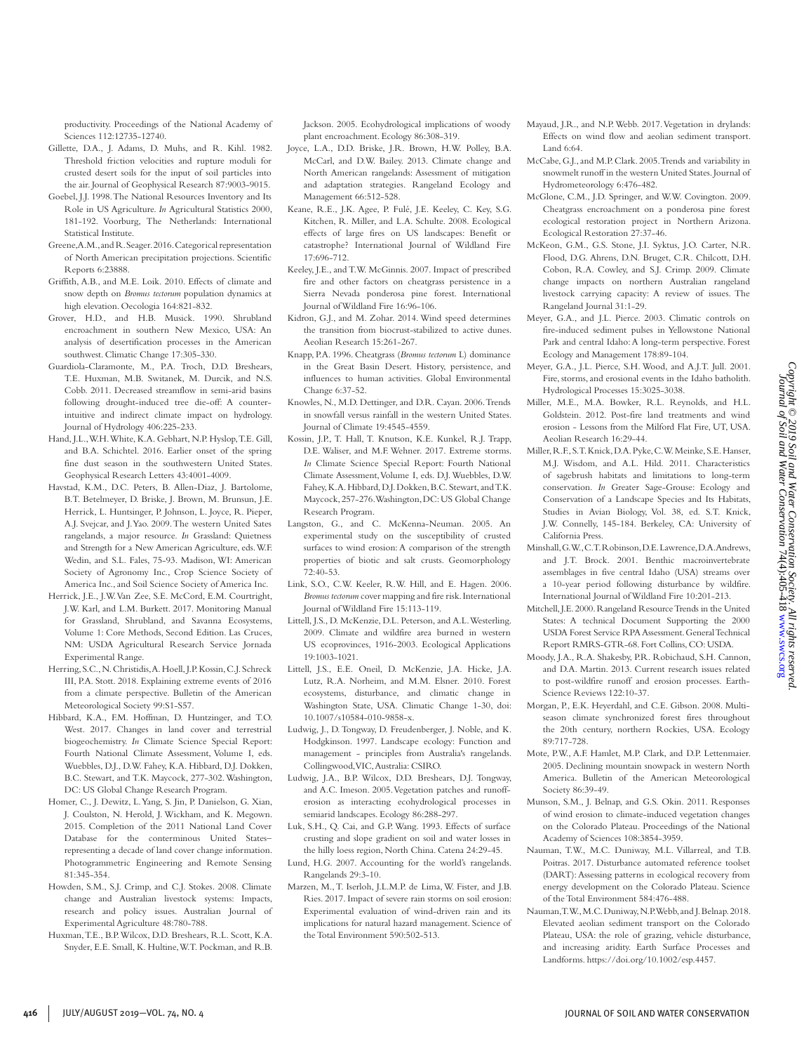- crusted desert soils for the input of soil particles into the air. Journal of Geophysical Research 87:9003-9015. Goebel, J.J. 1998. The National Resources Inventory and Its
- Role in US Agriculture. *In* Agricultural Statistics 2000, 181-192. Voorburg, The Netherlands: International Statistical Institute.
- Greene, A.M., and R. Seager. 2016. Categorical representation of North American precipitation projections. Scientific Reports 6:23888.
- Griffith, A.B., and M.E. Loik. 2010. Effects of climate and snow depth on *Bromus tectorum* population dynamics at high elevation. Oecologia 164:821-832.
- Grover, H.D., and H.B. Musick. 1990. Shrubland encroachment in southern New Mexico, USA: An analysis of desertification processes in the American southwest. Climatic Change 17:305-330.
- Guardiola-Claramonte, M., P.A. Troch, D.D. Breshears, T.E. Huxman, M.B. Switanek, M. Durcik, and N.S. Cobb. 2011. Decreased streamflow in semi-arid basins following drought-induced tree die-off: A counterintuitive and indirect climate impact on hydrology. Journal of Hydrology 406:225-233.
- Hand, J.L., W.H. White, K.A. Gebhart, N.P. Hyslop, T.E. Gill, and B.A. Schichtel. 2016. Earlier onset of the spring fine dust season in the southwestern United States. Geophysical Research Letters 43:4001-4009.
- Havstad, K.M., D.C. Peters, B. Allen-Diaz, J. Bartolome, B.T. Betelmeyer, D. Briske, J. Brown, M. Brunsun, J.E. Herrick, L. Huntsinger, P. Johnson, L. Joyce, R. Pieper, A.J. Svejcar, and J. Yao. 2009. The western United Sates rangelands, a major resource. *In* Grassland: Quietness and Strength for a New American Agriculture, eds. W.F. Wedin, and S.L. Fales, 75-93. Madison, WI: American Society of Agronomy Inc., Crop Science Society of America Inc., and Soil Science Society of America Inc.
- Herrick, J.E., J.W. Van Zee, S.E. McCord, E.M. Courtright, J.W. Karl, and L.M. Burkett. 2017. Monitoring Manual for Grassland, Shrubland, and Savanna Ecosystems, Volume 1: Core Methods, Second Edition. Las Cruces, NM: USDA Agricultural Research Service Jornada Experimental Range.
- Herring, S.C., N. Christidis, A. Hoell, J.P. Kossin, C.J. Schreck III, P.A. Stott. 2018. Explaining extreme events of 2016 from a climate perspective. Bulletin of the American Meteorological Society 99:S1-S57.
- Hibbard, K.A., F.M. Hoffman, D. Huntzinger, and T.O. West. 2017. Changes in land cover and terrestrial biogeochemistry. *In* Climate Science Special Report: Fourth National Climate Assessment, Volume I, eds. Wuebbles, D.J., D.W. Fahey, K.A. Hibbard, D.J. Dokken, B.C. Stewart, and T.K. Maycock, 277-302. Washington, DC: US Global Change Research Program.
- Homer, C., J. Dewitz, L. Yang, S. Jin, P. Danielson, G. Xian, J. Coulston, N. Herold, J. Wickham, and K. Megown. 2015. Completion of the 2011 National Land Cover Database for the conterminous United States– representing a decade of land cover change information. Photogrammetric Engineering and Remote Sensing 81:345-354.
- Howden, S.M., S.J. Crimp, and C.J. Stokes. 2008. Climate change and Australian livestock systems: Impacts, research and policy issues. Australian Journal of Experimental Agriculture 48:780-788.
- Huxman, T.E., B.P. Wilcox, D.D. Breshears, R.L. Scott, K.A. Snyder, E.E. Small, K. Hultine, W.T. Pockman, and R.B.

Jackson. 2005. Ecohydrological implications of woody plant encroachment. Ecology 86:308-319.

- Joyce, L.A., D.D. Briske, J.R. Brown, H.W. Polley, B.A. McCarl, and D.W. Bailey. 2013. Climate change and North American rangelands: Assessment of mitigation and adaptation strategies. Rangeland Ecology and Management 66:512-528.
- Keane, R.E., J.K. Agee, P. Fulé, J.E. Keeley, C. Key, S.G. Kitchen, R. Miller, and L.A. Schulte. 2008. Ecological effects of large fires on US landscapes: Benefit or catastrophe? International Journal of Wildland Fire 17:696-712.
- Keeley, J.E., and T.W. McGinnis. 2007. Impact of prescribed fire and other factors on cheatgrass persistence in a Sierra Nevada ponderosa pine forest. International Journal of Wildland Fire 16:96-106.
- Kidron, G.J., and M. Zohar. 2014. Wind speed determines the transition from biocrust-stabilized to active dunes. Aeolian Research 15:261-267.
- Knapp, P.A. 1996. Cheatgrass (*Bromus tectorum* L) dominance in the Great Basin Desert. History, persistence, and influences to human activities. Global Environmental Change 6:37-52.
- Knowles, N., M.D. Dettinger, and D.R. Cayan. 2006. Trends in snowfall versus rainfall in the western United States. Journal of Climate 19:4545-4559.
- Kossin, J.P., T. Hall, T. Knutson, K.E. Kunkel, R.J. Trapp, D.E. Waliser, and M.F. Wehner. 2017. Extreme storms. *In* Climate Science Special Report: Fourth National Climate Assessment, Volume I, eds. D.J. Wuebbles, D.W. Fahey, K.A. Hibbard, D.J. Dokken, B.C. Stewart, and T.K. Maycock, 257-276. Washington, DC: US Global Change Research Program.
- Langston, G., and C. McKenna-Neuman. 2005. An experimental study on the susceptibility of crusted surfaces to wind erosion: A comparison of the strength properties of biotic and salt crusts. Geomorphology 72:40-53.
- Link, S.O., C.W. Keeler, R.W. Hill, and E. Hagen. 2006. *Bromus tectorum* cover mapping and fire risk. International Journal of Wildland Fire 15:113-119.
- Littell, J.S., D. McKenzie, D.L. Peterson, and A.L. Westerling. 2009. Climate and wildfire area burned in western US ecoprovinces, 1916-2003. Ecological Applications 19:1003-1021.
- Littell, J.S., E.E. Oneil, D. McKenzie, J.A. Hicke, J.A. Lutz, R.A. Norheim, and M.M. Elsner. 2010. Forest ecosystems, disturbance, and climatic change in Washington State, USA. Climatic Change 1-30, doi: 10.1007/s10584-010-9858-x.
- Ludwig, J., D. Tongway, D. Freudenberger, J. Noble, and K. Hodgkinson. 1997. Landscape ecology: Function and management - principles from Australia's rangelands. Collingwood, VIC, Australia: CSIRO.
- Ludwig, J.A., B.P. Wilcox, D.D. Breshears, D.J. Tongway, and A.C. Imeson. 2005. Vegetation patches and runofferosion as interacting ecohydrological processes in semiarid landscapes. Ecology 86:288-297.
- Luk, S.H., Q. Cai, and G.P. Wang. 1993. Effects of surface crusting and slope gradient on soil and water losses in the hilly loess region, North China. Catena 24:29-45.
- Lund, H.G. 2007. Accounting for the world's rangelands. Rangelands 29:3-10.
- Marzen, M., T. Iserloh, J.L.M.P. de Lima, W. Fister, and J.B. Ries. 2017. Impact of severe rain storms on soil erosion: Experimental evaluation of wind-driven rain and its implications for natural hazard management. Science of the Total Environment 590:502-513.
- Mayaud, J.R., and N.P. Webb. 2017. Vegetation in drylands: Effects on wind flow and aeolian sediment transport. Land 6:64.
- McCabe, G.J., and M.P. Clark. 2005. Trends and variability in snowmelt runoff in the western United States. Journal of Hydrometeorology 6:476-482.
- McGlone, C.M., J.D. Springer, and W.W. Covington. 2009. Cheatgrass encroachment on a ponderosa pine forest ecological restoration project in Northern Arizona. Ecological Restoration 27:37-46.
- McKeon, G.M., G.S. Stone, J.I. Syktus, J.O. Carter, N.R. Flood, D.G. Ahrens, D.N. Bruget, C.R. Chilcott, D.H. Cobon, R.A. Cowley, and S.J. Crimp. 2009. Climate change impacts on northern Australian rangeland livestock carrying capacity: A review of issues. The Rangeland Journal 31:1-29.
- Meyer, G.A., and J.L. Pierce. 2003. Climatic controls on fire-induced sediment pulses in Yellowstone National Park and central Idaho: A long-term perspective. Forest Ecology and Management 178:89-104.
- Meyer, G.A., J.L. Pierce, S.H. Wood, and A.J.T. Jull. 2001. Fire, storms, and erosional events in the Idaho batholith. Hydrological Processes 15:3025-3038.
- Miller, M.E., M.A. Bowker, R.L. Reynolds, and H.L. Goldstein. 2012. Post-fire land treatments and wind erosion - Lessons from the Milford Flat Fire, UT, USA. Aeolian Research 16:29-44.
- Miller, R.F., S.T. Knick, D.A. Pyke, C.W. Meinke, S.E. Hanser, M.J. Wisdom, and A.L. Hild. 2011. Characteristics of sagebrush habitats and limitations to long-term conservation. *In* Greater Sage-Grouse: Ecology and Conservation of a Landscape Species and Its Habitats, Studies in Avian Biology, Vol. 38, ed. S.T. Knick, J.W. Connelly, 145-184. Berkeley, CA: University of California Press.
- Minshall, G.W., C.T. Robinson, D.E. Lawrence, D.A. Andrews, and J.T. Brock. 2001. Benthic macroinvertebrate assemblages in five central Idaho (USA) streams over a 10-year period following disturbance by wildfire. International Journal of Wildland Fire 10:201-213.
- Mitchell, J.E. 2000. Rangeland Resource Trends in the United States: A technical Document Supporting the 2000 USDA Forest Service RPA Assessment. General Technical Report RMRS-GTR-68. Fort Collins, CO: USDA.
- Moody, J.A., R.A. Shakesby, P.R. Robichaud, S.H. Cannon, and D.A. Martin. 2013. Current research issues related to post-wildfire runoff and erosion processes. Earth-Science Reviews 122:10-37.
- Morgan, P., E.K. Heyerdahl, and C.E. Gibson. 2008. Multiseason climate synchronized forest fires throughout the 20th century, northern Rockies, USA. Ecology 89:717-728.
- Mote, P.W., A.F. Hamlet, M.P. Clark, and D.P. Lettenmaier. 2005. Declining mountain snowpack in western North America. Bulletin of the American Meteorological Society 86:39-49.
- Munson, S.M., J. Belnap, and G.S. Okin. 2011. Responses of wind erosion to climate-induced vegetation changes on the Colorado Plateau. Proceedings of the National Academy of Sciences 108:3854-3959.
- Nauman, T.W., M.C. Duniway, M.L. Villarreal, and T.B. Poitras. 2017. Disturbance automated reference toolset (DART): Assessing patterns in ecological recovery from energy development on the Colorado Plateau. Science of the Total Environment 584:476-488.
- Nauman, T.W., M.C. Duniway, N.P. Webb, and J. Belnap. 2018. Elevated aeolian sediment transport on the Colorado Plateau, USA: the role of grazing, vehicle disturbance, and increasing aridity. Earth Surface Processes and Landforms. https://doi.org/10.1002/esp.4457.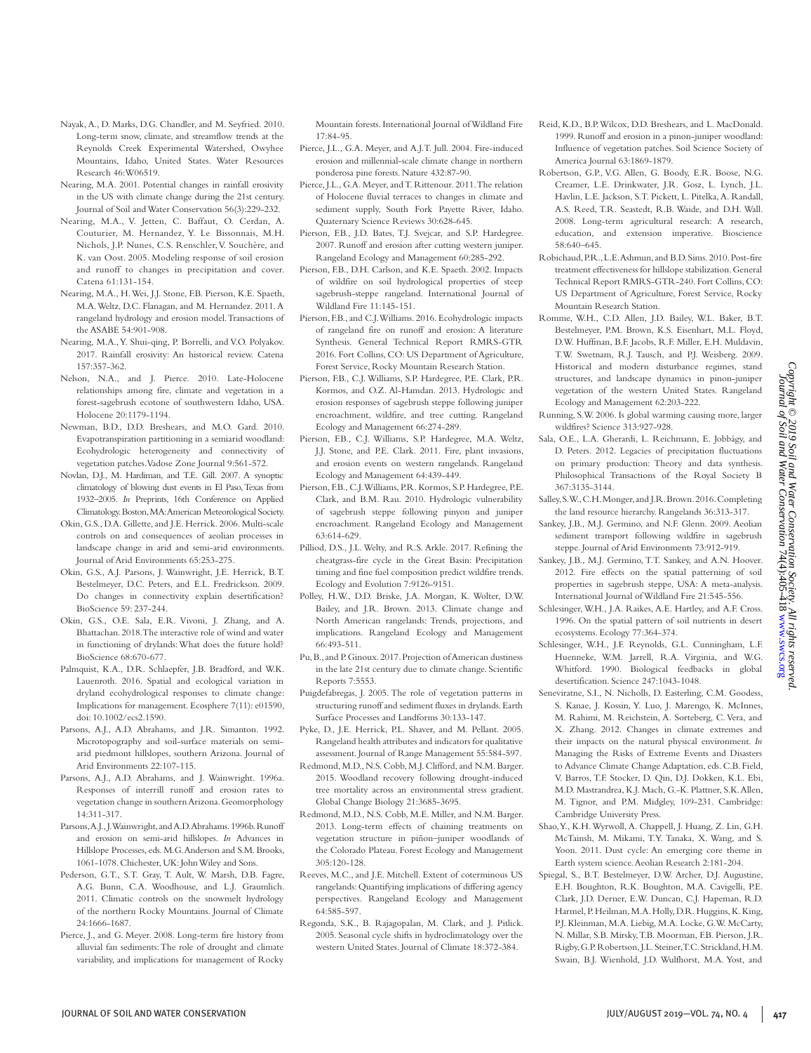*Copyright © 2019 Soil and Water Conservation Society. All rights reserved.* Journal of Soil and Water Conservation 74(4):405-418 [www.swcs.org](http://www.swcs.org)

- Nayak, A., D. Marks, D.G. Chandler, and M. Seyfried. 2010. Long-term snow, climate, and streamflow trends at the Reynolds Creek Experimental Watershed, Owyhee Mountains, Idaho, United States. Water Resources Research 46:W06519.
- Nearing, M.A. 2001. Potential changes in rainfall erosivity in the US with climate change during the 21st century. Journal of Soil and Water Conservation 56(3):229-232.
- Nearing, M.A., V. Jetten, C. Baffaut, O. Cerdan, A. Couturier, M. Hernandez, Y. Le Bissonnais, M.H. Nichols, J.P. Nunes, C.S. Renschler, V. Souchère, and K. van Oost. 2005. Modeling response of soil erosion and runoff to changes in precipitation and cover. Catena 61:131-154.
- Nearing, M.A., H. Wei, J.J. Stone, F.B. Pierson, K.E. Spaeth, M.A. Weltz, D.C. Flanagan, and M. Hernandez. 2011. A rangeland hydrology and erosion model. Transactions of the ASABE 54:901-908.
- Nearing, M.A., Y. Shui-qing, P. Borrelli, and V.O. Polyakov. 2017. Rainfall erosivity: An historical review. Catena 157:357-362.
- Nelson, N.A., and J. Pierce. 2010. Late-Holocene relationships among fire, climate and vegetation in a forest-sagebrush ecotone of southwestern Idaho, USA. Holocene 20:1179-1194.
- Newman, B.D., D.D. Breshears, and M.O. Gard. 2010. Evapotranspiration partitioning in a semiarid woodland: Ecohydrologic heterogeneity and connectivity of vegetation patches. Vadose Zone Journal 9:561-572.
- Novlan, D.J., M. Hardiman, and T.E. Gill. 2007. A synoptic climatology of blowing dust events in El Paso, Texas from 1932–2005. *In* Preprints, 16th Conference on Applied Climatology. Boston, MA: American Meteorological Society.
- Okin, G.S., D.A. Gillette, and J.E. Herrick. 2006. Multi-scale controls on and consequences of aeolian processes in landscape change in arid and semi-arid environments. Journal of Arid Environments 65:253-275.
- Okin, G.S., A.J. Parsons, J. Wainwright, J.E. Herrick, B.T. Bestelmeyer, D.C. Peters, and E.L. Fredrickson. 2009. Do changes in connectivity explain desertification? BioScience 59: 237-244.
- Okin, G.S., O.E. Sala, E.R. Vivoni, J. Zhang, and A. Bhattachan. 2018. The interactive role of wind and water in functioning of drylands: What does the future hold? BioScience 68:670-677.
- Palmquist, K.A., D.R. Schlaepfer, J.B. Bradford, and W.K. Lauenroth. 2016. Spatial and ecological variation in dryland ecohydrological responses to climate change: Implications for management. Ecosphere 7(11): e01590, doi: 10.1002/ecs2.1590.
- Parsons, A.J., A.D. Abrahams, and J.R. Simanton. 1992. Microtopography and soil-surface materials on semiarid piedmont hillslopes, southern Arizona. Journal of Arid Environments 22:107-115.
- Parsons, A.J., A.D. Abrahams, and J. Wainwright. 1996a. Responses of interrill runoff and erosion rates to vegetation change in southern Arizona. Geomorphology 14:311-317.
- Parsons, A.J., J. Wainwright, and A.D. Abrahams. 1996b. Runoff and erosion on semi-arid hillslopes. *In* Advances in Hillslope Processes, eds. M.G. Anderson and S.M. Brooks, 1061-1078. Chichester, UK: John Wiley and Sons.
- Pederson, G.T., S.T. Gray, T. Ault, W. Marsh, D.B. Fagre, A.G. Bunn, C.A. Woodhouse, and L.J. Graumlich. 2011. Climatic controls on the snowmelt hydrology of the northern Rocky Mountains. Journal of Climate 24:1666-1687.
- Pierce, J., and G. Meyer. 2008. Long-term fire history from alluvial fan sediments: The role of drought and climate variability, and implications for management of Rocky

Mountain forests. International Journal of Wildland Fire 17:84-95.

- Pierce, J.L., G.A. Meyer, and A.J.T. Jull. 2004. Fire-induced erosion and millennial-scale climate change in northern ponderosa pine forests. Nature 432:87-90.
- Pierce, J.L., G.A. Meyer, and T. Rittenour. 2011. The relation of Holocene fluvial terraces to changes in climate and sediment supply, South Fork Payette River, Idaho. Quaternary Science Reviews 30:628-645.
- Pierson, F.B., J.D. Bates, T.J. Svejcar, and S.P. Hardegree. 2007. Runoff and erosion after cutting western juniper. Rangeland Ecology and Management 60:285-292.
- Pierson, F.B., D.H. Carlson, and K.E. Spaeth. 2002. Impacts of wildfire on soil hydrological properties of steep sagebrush-steppe rangeland. International Journal of Wildland Fire 11:145-151.
- Pierson, F.B., and C.J. Williams. 2016. Ecohydrologic impacts of rangeland fire on runoff and erosion: A literature Synthesis. General Technical Report RMRS-GTR 2016. Fort Collins, CO: US Department of Agriculture, Forest Service, Rocky Mountain Research Station.
- Pierson, F.B., C.J. Williams, S.P. Hardegree, P.E. Clark, P.R. Kormos, and O.Z. Al-Hamdan. 2013. Hydrologic and erosion responses of sagebrush steppe following juniper encroachment, wildfire, and tree cutting. Rangeland Ecology and Management 66:274-289.
- Pierson, F.B., C.J. Williams, S.P. Hardegree, M.A. Weltz, J.J. Stone, and P.E. Clark. 2011. Fire, plant invasions, and erosion events on western rangelands. Rangeland Ecology and Management 64:439-449.
- Pierson, F.B., C.J. Williams, P.R. Kormos, S.P. Hardegree, P.E. Clark, and B.M. Rau. 2010. Hydrologic vulnerability of sagebrush steppe following pinyon and juniper encroachment. Rangeland Ecology and Management 63:614-629.
- Pilliod, D.S., J.L. Welty, and R.S. Arkle. 2017. Refining the cheatgrass-fire cycle in the Great Basin: Precipitation timing and fine fuel composition predict wildfire trends. Ecology and Evolution 7:9126-9151.
- Polley, H.W., D.D. Briske, J.A. Morgan, K. Wolter, D.W. Bailey, and J.R. Brown. 2013. Climate change and North American rangelands: Trends, projections, and implications. Rangeland Ecology and Management 66:493-511.
- Pu, B., and P. Ginoux. 2017. Projection of American dustiness in the late 21st century due to climate change. Scientific Reports 7:5553.
- Puigdefabregas, J. 2005. The role of vegetation patterns in structuring runoff and sediment fluxes in drylands. Earth Surface Processes and Landforms 30:133-147.
- Pyke, D., J.E. Herrick, P.L. Shaver, and M. Pellant. 2005. Rangeland health attributes and indicators for qualitative assessment. Journal of Range Management 55:584-597.
- Redmond, M.D., N.S. Cobb, M.J. Clifford, and N.M. Barger. 2015. Woodland recovery following drought-induced tree mortality across an environmental stress gradient. Global Change Biology 21:3685-3695.
- Redmond, M.D., N.S. Cobb, M.E. Miller, and N.M. Barger. 2013. Long-term effects of chaining treatments on vegetation structure in piñon–juniper woodlands of the Colorado Plateau. Forest Ecology and Management 305:120-128.
- Reeves, M.C., and J.E. Mitchell. Extent of coterminous US rangelands: Quantifying implications of differing agency perspectives. Rangeland Ecology and Management 64:585-597.
- Regonda, S.K., B. Rajagopalan, M. Clark, and J. Pitlick. 2005. Seasonal cycle shifts in hydroclimatology over the western United States. Journal of Climate 18:372-384.
- Reid, K.D., B.P. Wilcox, D.D. Breshears, and L. MacDonald. 1999. Runoff and erosion in a pinon-juniper woodland: Influence of vegetation patches. Soil Science Society of America Journal 63:1869-1879.
- Robertson, G.P., V.G. Allen, G. Boody, E.R. Boose, N.G. Creamer, L.E. Drinkwater, J.R. Gosz, L. Lynch, J.L. Havlin, L.E. Jackson, S.T. Pickett, L. Pitelka, A. Randall, A.S. Reed, T.R. Seastedt, R.B. Waide, and D.H. Wall. 2008. Long-term agricultural research: A research, education, and extension imperative. Bioscience 58:640–645.
- Robichaud, P.R., L.E. Ashmun, and B.D. Sims. 2010. Post-fire treatment effectiveness for hillslope stabilization. General Technical Report RMRS-GTR-240. Fort Collins, CO: US Department of Agriculture, Forest Service, Rocky Mountain Research Station.
- Romme, W.H., C.D. Allen, J.D. Bailey, W.L. Baker, B.T. Bestelmeyer, P.M. Brown, K.S. Eisenhart, M.L. Floyd, D.W. Huffman, B.F. Jacobs, R.F. Miller, E.H. Muldavin, T.W. Swetnam, R.J. Tausch, and P.J. Weisberg. 2009. Historical and modern disturbance regimes, stand structures, and landscape dynamics in pinon-juniper vegetation of the western United States. Rangeland Ecology and Management 62:203-222.
- Running, S.W. 2006. Is global warming causing more, larger wildfires? Science 313:927-928.
- Sala, O.E., L.A. Gherardi, L. Reichmann, E. Jobbágy, and D. Peters. 2012. Legacies of precipitation fluctuations on primary production: Theory and data synthesis. Philosophical Transactions of the Royal Society B 367:3135-3144.
- Salley, S.W., C.H. Monger, and J.R. Brown. 2016. Completing the land resource hierarchy. Rangelands 36:313-317.
- Sankey, J.B., M.J. Germino, and N.F. Glenn. 2009. Aeolian sediment transport following wildfire in sagebrush steppe. Journal of Arid Environments 73:912-919.
- Sankey, J.B., M.J. Germino, T.T. Sankey, and A.N. Hoover. 2012. Fire effects on the spatial patterning of soil properties in sagebrush steppe, USA: A meta-analysis. International Journal of Wildland Fire 21:545-556.
- Schlesinger, W.H., J.A. Raikes, A.E. Hartley, and A.F. Cross. 1996. On the spatial pattern of soil nutrients in desert ecosystems. Ecology 77:364-374.
- Schlesinger, W.H., J.F. Reynolds, G.L. Cunningham, L.F. Huenneke, W.M. Jarrell, R.A. Virginia, and W.G. Whitford. 1990. Biological feedbacks in global desertification. Science 247:1043-1048.
- Seneviratne, S.I., N. Nicholls, D. Easterling, C.M. Goodess, S. Kanae, J. Kossin, Y. Luo, J. Marengo, K. McInnes, M. Rahimi, M. Reichstein, A. Sorteberg, C. Vera, and X. Zhang. 2012. Changes in climate extremes and their impacts on the natural physical environment. *In*  Managing the Risks of Extreme Events and Disasters to Advance Climate Change Adaptation, eds. C.B. Field, V. Barros, T.F. Stocker, D. Qin, D.J. Dokken, K.L. Ebi, M.D. Mastrandrea, K.J. Mach, G.-K. Plattner, S.K. Allen, M. Tignor, and P.M. Midgley, 109-231. Cambridge: Cambridge University Press.
- Shao, Y., K.H. Wyrwoll, A. Chappell, J. Huang, Z. Lin, G.H. McTainsh, M. Mikami, T.Y. Tanaka, X. Wang, and S. Yoon. 2011. Dust cycle: An emerging core theme in Earth system science. Aeolian Research 2:181-204.
- Spiegal, S., B.T. Bestelmeyer, D.W. Archer, D.J. Augustine, E.H. Boughton, R.K. Boughton, M.A. Cavigelli, P.E. Clark, J.D. Derner, E.W. Duncan, C.J. Hapeman, R.D. Harmel, P. Heilman, M.A. Holly, D.R. Huggins, K. King, P.J. Kleinman, M.A. Liebig, M.A. Locke, G.W. McCarty, N. Millar, S.B. Mirsky, T.B. Moorman, F.B. Pierson, J.R. Rigby, G.P. Robertson, J.L. Steiner, T.C. Strickland, H.M. Swain, B.J. Wienhold, J.D. Wulfhorst, M.A. Yost, and